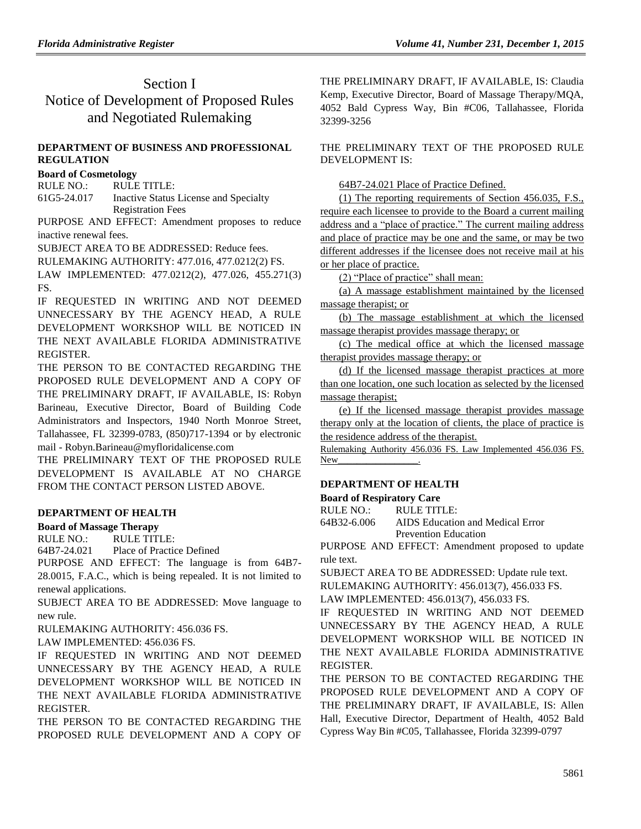# Section I Notice of Development of Proposed Rules and Negotiated Rulemaking

# **[DEPARTMENT OF BUSINESS AND PROFESSIONAL](https://www.flrules.org/gateway/department.asp?id=61)  [REGULATION](https://www.flrules.org/gateway/department.asp?id=61)**

# **[Board of Cosmetology](https://www.flrules.org/gateway/organization.asp?id=275)**

RULE NO.: RULE TITLE: [61G5-24.017](https://www.flrules.org/gateway/ruleNo.asp?id=61G5-24.017) Inactive Status License and Specialty Registration Fees

PURPOSE AND EFFECT: Amendment proposes to reduce inactive renewal fees.

SUBJECT AREA TO BE ADDRESSED: Reduce fees.

RULEMAKING AUTHORITY: [477.016, 477.0212\(2\) FS.](https://www.flrules.org/gateway/cfr.asp?id=477.016,%20477.0212(2)%20FS)

LAW IMPLEMENTED: [477.0212\(2\), 477.026, 455.271\(3\)](https://www.flrules.org/gateway/cfr.asp?id=477.0212(2),%20477.026,%20455.271(3)%20FS)  [FS.](https://www.flrules.org/gateway/cfr.asp?id=477.0212(2),%20477.026,%20455.271(3)%20FS)

IF REQUESTED IN WRITING AND NOT DEEMED UNNECESSARY BY THE AGENCY HEAD, A RULE DEVELOPMENT WORKSHOP WILL BE NOTICED IN THE NEXT AVAILABLE FLORIDA ADMINISTRATIVE REGISTER.

THE PERSON TO BE CONTACTED REGARDING THE PROPOSED RULE DEVELOPMENT AND A COPY OF THE PRELIMINARY DRAFT, IF AVAILABLE, IS: Robyn Barineau, Executive Director, Board of Building Code Administrators and Inspectors, 1940 North Monroe Street, Tallahassee, FL 32399-0783, (850)717-1394 or by electronic mail - Robyn.Barineau@myfloridalicense.com

THE PRELIMINARY TEXT OF THE PROPOSED RULE DEVELOPMENT IS AVAILABLE AT NO CHARGE FROM THE CONTACT PERSON LISTED ABOVE.

# **[DEPARTMENT OF HEALTH](https://www.flrules.org/gateway/department.asp?id=64)**

# **[Board of Massage Therapy](https://www.flrules.org/gateway/organization.asp?id=330)**

RULE NO.: RULE TITLE:

[64B7-24.021](https://www.flrules.org/gateway/ruleNo.asp?id=64B7-24.021) Place of Practice Defined

PURPOSE AND EFFECT: The language is from 64B7- 28.0015, F.A.C., which is being repealed. It is not limited to renewal applications.

SUBJECT AREA TO BE ADDRESSED: Move language to new rule.

RULEMAKING AUTHORITY: [456.036 FS.](https://www.flrules.org/gateway/cfr.asp?id=456.036%20FS)

LAW IMPLEMENTED: [456.036 FS.](https://www.flrules.org/gateway/cfr.asp?id=456.036%20FS)

IF REQUESTED IN WRITING AND NOT DEEMED UNNECESSARY BY THE AGENCY HEAD, A RULE DEVELOPMENT WORKSHOP WILL BE NOTICED IN THE NEXT AVAILABLE FLORIDA ADMINISTRATIVE REGISTER.

THE PERSON TO BE CONTACTED REGARDING THE PROPOSED RULE DEVELOPMENT AND A COPY OF THE PRELIMINARY DRAFT, IF AVAILABLE, IS: Claudia Kemp, Executive Director, Board of Massage Therapy/MQA, 4052 Bald Cypress Way, Bin #C06, Tallahassee, Florida 32399-3256

THE PRELIMINARY TEXT OF THE PROPOSED RULE DEVELOPMENT IS:

64B7-24.021 Place of Practice Defined.

(1) The reporting requirements of Section 456.035, F.S., require each licensee to provide to the Board a current mailing address and a "place of practice." The current mailing address and place of practice may be one and the same, or may be two different addresses if the licensee does not receive mail at his or her place of practice.

(2) "Place of practice" shall mean:

(a) A massage establishment maintained by the licensed massage therapist; or

(b) The massage establishment at which the licensed massage therapist provides massage therapy; or

(c) The medical office at which the licensed massage therapist provides massage therapy; or

(d) If the licensed massage therapist practices at more than one location, one such location as selected by the licensed massage therapist;

(e) If the licensed massage therapist provides massage therapy only at the location of clients, the place of practice is the residence address of the therapist.

Rulemaking Authority 456.036 FS. Law Implemented 456.036 FS. New\_

# **[DEPARTMENT OF HEALTH](https://www.flrules.org/gateway/department.asp?id=64)**

**[Board of Respiratory Care](https://www.flrules.org/gateway/organization.asp?id=325)**

RULE NO.: RULE TITLE:

[64B32-6.006](https://www.flrules.org/gateway/ruleNo.asp?id=64B32-6.006) AIDS Education and Medical Error Prevention Education

PURPOSE AND EFFECT: Amendment proposed to update rule text.

SUBJECT AREA TO BE ADDRESSED: Update rule text. RULEMAKING AUTHORITY: [456.013\(7\), 456.033 FS.](https://www.flrules.org/gateway/cfr.asp?id=456.013(7),%20456.033%20FS)

LAW IMPLEMENTED: [456.013\(7\), 456.033 FS.](https://www.flrules.org/gateway/cfr.asp?id=456.013(7),%20456.033%20FS)

IF REQUESTED IN WRITING AND NOT DEEMED UNNECESSARY BY THE AGENCY HEAD, A RULE DEVELOPMENT WORKSHOP WILL BE NOTICED IN THE NEXT AVAILABLE FLORIDA ADMINISTRATIVE REGISTER.

THE PERSON TO BE CONTACTED REGARDING THE PROPOSED RULE DEVELOPMENT AND A COPY OF THE PRELIMINARY DRAFT, IF AVAILABLE, IS: Allen Hall, Executive Director, Department of Health, 4052 Bald Cypress Way Bin #C05, Tallahassee, Florida 32399-0797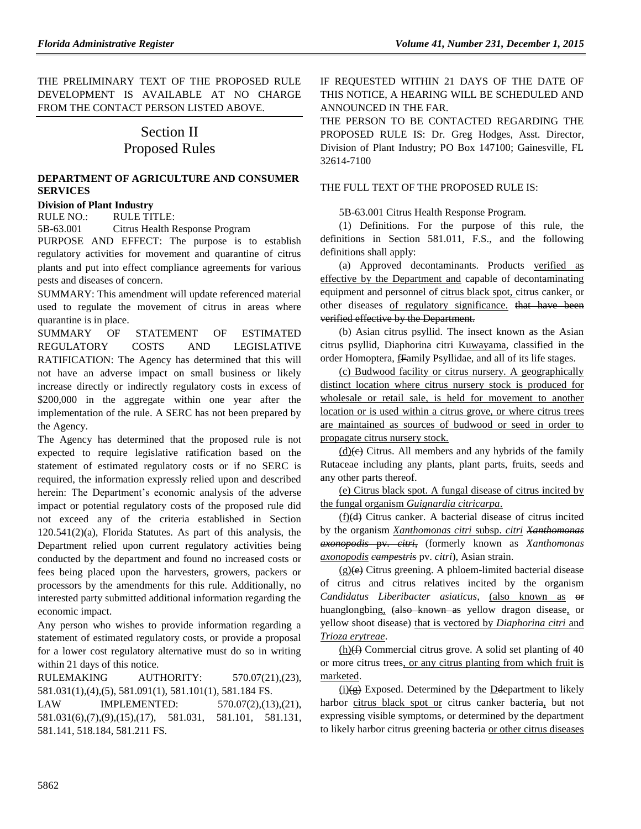THE PRELIMINARY TEXT OF THE PROPOSED RULE DEVELOPMENT IS AVAILABLE AT NO CHARGE FROM THE CONTACT PERSON LISTED ABOVE.

# Section II Proposed Rules

# **[DEPARTMENT OF AGRICULTURE AND CONSUMER](https://www.flrules.org/gateway/department.asp?id=5)  [SERVICES](https://www.flrules.org/gateway/department.asp?id=5)**

# **[Division of Plant Industry](https://www.flrules.org/gateway/organization.asp?id=162)**

RULE NO.: RULE TITLE:

[5B-63.001](https://www.flrules.org/gateway/ruleNo.asp?id=5B-63.001) Citrus Health Response Program

PURPOSE AND EFFECT: The purpose is to establish regulatory activities for movement and quarantine of citrus plants and put into effect compliance agreements for various pests and diseases of concern.

SUMMARY: This amendment will update referenced material used to regulate the movement of citrus in areas where quarantine is in place.

SUMMARY OF STATEMENT OF ESTIMATED REGULATORY COSTS AND LEGISLATIVE RATIFICATION: The Agency has determined that this will not have an adverse impact on small business or likely increase directly or indirectly regulatory costs in excess of \$200,000 in the aggregate within one year after the implementation of the rule. A SERC has not been prepared by the Agency.

The Agency has determined that the proposed rule is not expected to require legislative ratification based on the statement of estimated regulatory costs or if no SERC is required, the information expressly relied upon and described herein: The Department's economic analysis of the adverse impact or potential regulatory costs of the proposed rule did not exceed any of the criteria established in Section 120.541(2)(a), Florida Statutes. As part of this analysis, the Department relied upon current regulatory activities being conducted by the department and found no increased costs or fees being placed upon the harvesters, growers, packers or processors by the amendments for this rule. Additionally, no interested party submitted additional information regarding the economic impact.

Any person who wishes to provide information regarding a statement of estimated regulatory costs, or provide a proposal for a lower cost regulatory alternative must do so in writing within 21 days of this notice.

RULEMAKING AUTHORITY: [570.07\(21\),](https://www.flrules.org/gateway/statute.asp?id=570.07(21))(23), [581.031\(1\),](https://www.flrules.org/gateway/statute.asp?id=%20581.031(1))(4),(5)[, 581.091\(1\),](https://www.flrules.org/gateway/statute.asp?id=%20581.091(1)) [581.101\(1\),](https://www.flrules.org/gateway/statute.asp?id=%20581.101(1)) [581.184](https://www.flrules.org/gateway/statute.asp?id=%20581.184) FS. LAW IMPLEMENTED: [570.07\(2\),](https://www.flrules.org/gateway/statute.asp?id=570.07(2))(13),(21), [581.031\(6\),](https://www.flrules.org/gateway/statute.asp?id=%20581.031(6))(7),(9),(15),(17), [581.031,](https://www.flrules.org/gateway/statute.asp?id=%20581.031) [581.101,](https://www.flrules.org/gateway/statute.asp?id=%20581.101) [581.131,](https://www.flrules.org/gateway/statute.asp?id=%20581.131) [581.141,](https://www.flrules.org/gateway/statute.asp?id=%20581.141) [518.184,](https://www.flrules.org/gateway/statute.asp?id=%20518.184) [581.211](https://www.flrules.org/gateway/statute.asp?id=%20581.211) FS.

IF REQUESTED WITHIN 21 DAYS OF THE DATE OF THIS NOTICE, A HEARING WILL BE SCHEDULED AND ANNOUNCED IN THE FAR.

THE PERSON TO BE CONTACTED REGARDING THE PROPOSED RULE IS: Dr. Greg Hodges, Asst. Director, Division of Plant Industry; PO Box 147100; Gainesville, FL 32614-7100

# THE FULL TEXT OF THE PROPOSED RULE IS:

5B-63.001 Citrus Health Response Program.

(1) Definitions. For the purpose of this rule, the definitions in Section 581.011, F.S., and the following definitions shall apply:

(a) Approved decontaminants. Products verified as effective by the Department and capable of decontaminating equipment and personnel of citrus black spot, citrus canker, or other diseases of regulatory significance. that have been verified effective by the Department.

(b) Asian citrus psyllid. The insect known as the Asian citrus psyllid, Diaphorina citri Kuwayama, classified in the order Homoptera, fFamily Psyllidae, and all of its life stages.

(c) Budwood facility or citrus nursery. A geographically distinct location where citrus nursery stock is produced for wholesale or retail sale, is held for movement to another location or is used within a citrus grove, or where citrus trees are maintained as sources of budwood or seed in order to propagate citrus nursery stock.

 $(d)$ ( $\leftrightarrow$ ) Citrus. All members and any hybrids of the family Rutaceae including any plants, plant parts, fruits, seeds and any other parts thereof.

(e) Citrus black spot. A fungal disease of citrus incited by the fungal organism *Guignardia citricarpa*.

(f)(d) Citrus canker. A bacterial disease of citrus incited by the organism *Xanthomonas citri* subsp. *citri Xanthomonas axonopodis* pv. *citri*, (formerly known as *Xanthomonas axonopodis campestris* pv. *citri*), Asian strain.

(g)(e) Citrus greening. A phloem-limited bacterial disease of citrus and citrus relatives incited by the organism *Candidatus Liberibacter asiaticus*, (also known as or huanglongbing, (also known as yellow dragon disease, or yellow shoot disease) that is vectored by *Diaphorina citri* and *Trioza erytreae*.

(h)(f) Commercial citrus grove. A solid set planting of 40 or more citrus trees, or any citrus planting from which fruit is marketed.

 $(i)(g)$  Exposed. Determined by the Delepartment to likely harbor citrus black spot or citrus canker bacteria, but not expressing visible symptoms, or determined by the department to likely harbor citrus greening bacteria or other citrus diseases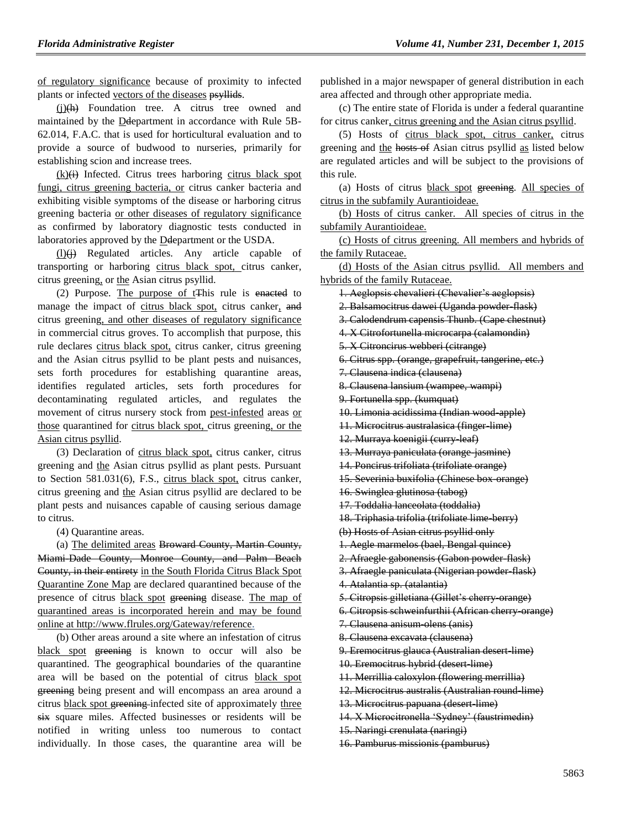of regulatory significance because of proximity to infected plants or infected vectors of the diseases psyllids.

 $(i)$ (h) Foundation tree. A citrus tree owned and maintained by the Ddepartment in accordance with Rule 5B-62.014, F.A.C. that is used for horticultural evaluation and to provide a source of budwood to nurseries, primarily for establishing scion and increase trees.

 $(k)(i)$  Infected. Citrus trees harboring citrus black spot fungi, citrus greening bacteria, or citrus canker bacteria and exhibiting visible symptoms of the disease or harboring citrus greening bacteria or other diseases of regulatory significance as confirmed by laboratory diagnostic tests conducted in laboratories approved by the Ddepartment or the USDA.

(l)(j) Regulated articles. Any article capable of transporting or harboring citrus black spot, citrus canker, citrus greening, or the Asian citrus psyllid.

(2) Purpose. The purpose of  $t$ This rule is enacted to manage the impact of citrus black spot, citrus canker, and citrus greening, and other diseases of regulatory significance in commercial citrus groves. To accomplish that purpose, this rule declares citrus black spot, citrus canker, citrus greening and the Asian citrus psyllid to be plant pests and nuisances, sets forth procedures for establishing quarantine areas, identifies regulated articles, sets forth procedures for decontaminating regulated articles, and regulates the movement of citrus nursery stock from pest-infested areas or those quarantined for citrus black spot, citrus greening, or the Asian citrus psyllid.

(3) Declaration of citrus black spot, citrus canker, citrus greening and the Asian citrus psyllid as plant pests. Pursuant to Section 581.031(6), F.S., citrus black spot, citrus canker, citrus greening and the Asian citrus psyllid are declared to be plant pests and nuisances capable of causing serious damage to citrus.

(4) Quarantine areas.

(a) The delimited areas Broward County, Martin County, Miami-Dade County, Monroe County, and Palm Beach County, in their entirety in the South Florida Citrus Black Spot Quarantine Zone Map are declared quarantined because of the presence of citrus black spot greening disease. The map of quarantined areas is incorporated herein and may be found online at http://www.flrules.org/Gateway/reference.

(b) Other areas around a site where an infestation of citrus black spot greening is known to occur will also be quarantined. The geographical boundaries of the quarantine area will be based on the potential of citrus black spot greening being present and will encompass an area around a citrus black spot greening infected site of approximately three six square miles. Affected businesses or residents will be notified in writing unless too numerous to contact individually. In those cases, the quarantine area will be

published in a major newspaper of general distribution in each area affected and through other appropriate media.

(c) The entire state of Florida is under a federal quarantine for citrus canker, citrus greening and the Asian citrus psyllid.

(5) Hosts of citrus black spot, citrus canker, citrus greening and the hosts of Asian citrus psyllid as listed below are regulated articles and will be subject to the provisions of this rule.

(a) Hosts of citrus black spot greening. All species of citrus in the subfamily Aurantioideae.

(b) Hosts of citrus canker. All species of citrus in the subfamily Aurantioideae.

(c) Hosts of citrus greening. All members and hybrids of the family Rutaceae.

(d) Hosts of the Asian citrus psyllid. All members and hybrids of the family Rutaceae.

1. Aeglopsis chevalieri (Chevalier's aeglopsis)

2. Balsamocitrus dawei (Uganda powder-flask)

3. Calodendrum capensis Thunb. (Cape chestnut)

4. X Citrofortunella microcarpa (calamondin)

5. X Citroncirus webberi (citrange)

6. Citrus spp. (orange, grapefruit, tangerine, etc.)

7. Clausena indica (clausena)

8. Clausena lansium (wampee, wampi)

9. Fortunella spp. (kumquat)

10. Limonia acidissima (Indian wood-apple)

11. Microcitrus australasica (finger-lime)

12. Murraya koenigii (curry-leaf)

13. Murraya paniculata (orange-jasmine)

14. Poncirus trifoliata (trifoliate orange)

15. Severinia buxifolia (Chinese box-orange)

16. Swinglea glutinosa (tabog)

17. Toddalia lanceolata (toddalia)

18. Triphasia trifolia (trifoliate lime-berry)

(b) Hosts of Asian citrus psyllid only

1. Aegle marmelos (bael, Bengal quince)

2. Afraegle gabonensis (Gabon powder-flask)

3. Afraegle paniculata (Nigerian powder-flask)

4. Atalantia sp. (atalantia)

5. Citropsis gilletiana (Gillet's cherry-orange)

6. Citropsis schweinfurthii (African cherry-orange)

7. Clausena anisum-olens (anis)

8. Clausena excavata (clausena)

9. Eremocitrus glauca (Australian desert-lime)

10. Eremocitrus hybrid (desert-lime)

11. Merrillia caloxylon (flowering merrillia)

12. Microcitrus australis (Australian round-lime)

13. Microcitrus papuana (desert-lime)

14. X Microcitronella 'Sydney' (faustrimedin)

15. Naringi crenulata (naringi)

16. Pamburus missionis (pamburus)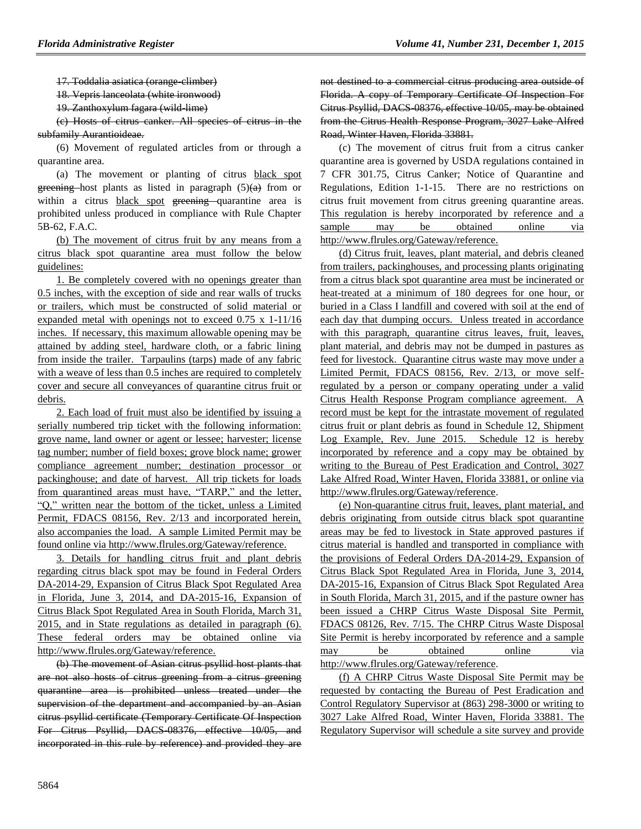17. Toddalia asiatica (orange-climber)

18. Vepris lanceolata (white ironwood)

19. Zanthoxylum fagara (wild-lime)

(c) Hosts of citrus canker. All species of citrus in the subfamily Aurantioideae.

(6) Movement of regulated articles from or through a quarantine area.

(a) The movement or planting of citrus black spot greening host plants as listed in paragraph  $(5)(a)$  from or within a citrus **black** spot greening quarantine area is prohibited unless produced in compliance with Rule Chapter 5B-62, F.A.C.

(b) The movement of citrus fruit by any means from a citrus black spot quarantine area must follow the below guidelines:

1. Be completely covered with no openings greater than 0.5 inches, with the exception of side and rear walls of trucks or trailers, which must be constructed of solid material or expanded metal with openings not to exceed 0.75 x 1-11/16 inches. If necessary, this maximum allowable opening may be attained by adding steel, hardware cloth, or a fabric lining from inside the trailer. Tarpaulins (tarps) made of any fabric with a weave of less than 0.5 inches are required to completely cover and secure all conveyances of quarantine citrus fruit or debris.

2. Each load of fruit must also be identified by issuing a serially numbered trip ticket with the following information: grove name, land owner or agent or lessee; harvester; license tag number; number of field boxes; grove block name; grower compliance agreement number; destination processor or packinghouse; and date of harvest. All trip tickets for loads from quarantined areas must have, "TARP," and the letter, "Q," written near the bottom of the ticket, unless a Limited Permit, FDACS 08156, Rev. 2/13 and incorporated herein, also accompanies the load. A sample Limited Permit may be found online via http://www.flrules.org/Gateway/reference.

3. Details for handling citrus fruit and plant debris regarding citrus black spot may be found in Federal Orders DA-2014-29, Expansion of Citrus Black Spot Regulated Area in Florida, June 3, 2014, and DA-2015-16, Expansion of Citrus Black Spot Regulated Area in South Florida, March 31, 2015, and in State regulations as detailed in paragraph (6). These federal orders may be obtained online via http://www.flrules.org/Gateway/reference.

(b) The movement of Asian citrus psyllid host plants that are not also hosts of citrus greening from a citrus greening quarantine area is prohibited unless treated under the supervision of the department and accompanied by an Asian citrus psyllid certificate (Temporary Certificate Of Inspection For Citrus Psyllid, DACS-08376, effective 10/05, and incorporated in this rule by reference) and provided they are not destined to a commercial citrus producing area outside of Florida. A copy of Temporary Certificate Of Inspection For Citrus Psyllid, DACS-08376, effective 10/05, may be obtained from the Citrus Health Response Program, 3027 Lake Alfred Road, Winter Haven, Florida 33881.

(c) The movement of citrus fruit from a citrus canker quarantine area is governed by USDA regulations contained in 7 CFR 301.75, Citrus Canker; Notice of Quarantine and Regulations, Edition 1-1-15. There are no restrictions on citrus fruit movement from citrus greening quarantine areas. This regulation is hereby incorporated by reference and a sample may be obtained online via http://www.flrules.org/Gateway/reference.

(d) Citrus fruit, leaves, plant material, and debris cleaned from trailers, packinghouses, and processing plants originating from a citrus black spot quarantine area must be incinerated or heat-treated at a minimum of 180 degrees for one hour, or buried in a Class I landfill and covered with soil at the end of each day that dumping occurs. Unless treated in accordance with this paragraph, quarantine citrus leaves, fruit, leaves, plant material, and debris may not be dumped in pastures as feed for livestock. Quarantine citrus waste may move under a Limited Permit, FDACS 08156, Rev. 2/13, or move selfregulated by a person or company operating under a valid Citrus Health Response Program compliance agreement. A record must be kept for the intrastate movement of regulated citrus fruit or plant debris as found in Schedule 12, Shipment Log Example, Rev. June 2015. Schedule 12 is hereby incorporated by reference and a copy may be obtained by writing to the Bureau of Pest Eradication and Control, 3027 Lake Alfred Road, Winter Haven, Florida 33881, or online via http://www.flrules.org/Gateway/reference.

(e) Non-quarantine citrus fruit, leaves, plant material, and debris originating from outside citrus black spot quarantine areas may be fed to livestock in State approved pastures if citrus material is handled and transported in compliance with the provisions of Federal Orders DA-2014-29, Expansion of Citrus Black Spot Regulated Area in Florida, June 3, 2014, DA-2015-16, Expansion of Citrus Black Spot Regulated Area in South Florida, March 31, 2015, and if the pasture owner has been issued a CHRP Citrus Waste Disposal Site Permit, FDACS 08126, Rev. 7/15. The CHRP Citrus Waste Disposal Site Permit is hereby incorporated by reference and a sample may be obtained online via http://www.flrules.org/Gateway/reference.

(f) A CHRP Citrus Waste Disposal Site Permit may be requested by contacting the Bureau of Pest Eradication and Control Regulatory Supervisor at (863) 298-3000 or writing to 3027 Lake Alfred Road, Winter Haven, Florida 33881. The Regulatory Supervisor will schedule a site survey and provide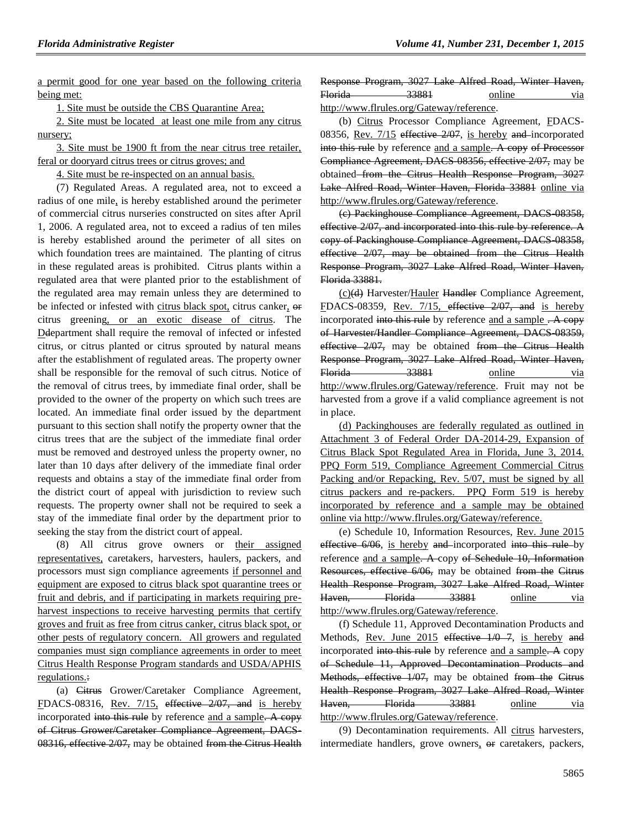a permit good for one year based on the following criteria being met:

1. Site must be outside the CBS Quarantine Area;

2. Site must be located at least one mile from any citrus nursery;

3. Site must be 1900 ft from the near citrus tree retailer, feral or dooryard citrus trees or citrus groves; and

4. Site must be re-inspected on an annual basis.

(7) Regulated Areas. A regulated area, not to exceed a radius of one mile, is hereby established around the perimeter of commercial citrus nurseries constructed on sites after April 1, 2006. A regulated area, not to exceed a radius of ten miles is hereby established around the perimeter of all sites on which foundation trees are maintained. The planting of citrus in these regulated areas is prohibited. Citrus plants within a regulated area that were planted prior to the establishment of the regulated area may remain unless they are determined to be infected or infested with citrus black spot, citrus canker, or citrus greening, or an exotic disease of citrus. The Ddepartment shall require the removal of infected or infested citrus, or citrus planted or citrus sprouted by natural means after the establishment of regulated areas. The property owner shall be responsible for the removal of such citrus. Notice of the removal of citrus trees, by immediate final order, shall be provided to the owner of the property on which such trees are located. An immediate final order issued by the department pursuant to this section shall notify the property owner that the citrus trees that are the subject of the immediate final order must be removed and destroyed unless the property owner, no later than 10 days after delivery of the immediate final order requests and obtains a stay of the immediate final order from the district court of appeal with jurisdiction to review such requests. The property owner shall not be required to seek a stay of the immediate final order by the department prior to seeking the stay from the district court of appeal.

(8) All citrus grove owners or their assigned representatives, caretakers, harvesters, haulers, packers, and processors must sign compliance agreements if personnel and equipment are exposed to citrus black spot quarantine trees or fruit and debris, and if participating in markets requiring preharvest inspections to receive harvesting permits that certify groves and fruit as free from citrus canker, citrus black spot, or other pests of regulatory concern. All growers and regulated companies must sign compliance agreements in order to meet Citrus Health Response Program standards and USDA/APHIS regulations.:

(a) Citrus Grower/Caretaker Compliance Agreement, FDACS-08316, Rev. 7/15, effective 2/07, and is hereby incorporated into this rule by reference and a sample. A copy of Citrus Grower/Caretaker Compliance Agreement, DACS-08316, effective 2/07, may be obtained from the Citrus Health

| Response Program, 3027 Lake Alfred Road, Winter Haven, |                  |  |        |     |
|--------------------------------------------------------|------------------|--|--------|-----|
| <del>Florida</del>                                     | <del>33881</del> |  | online | via |
| http://www.flrules.org/Gateway/reference.              |                  |  |        |     |

(b) Citrus Processor Compliance Agreement, FDACS-08356, Rev.  $7/15$  effective  $2/07$ , is hereby and incorporated into this rule by reference and a sample. A copy of Processor Compliance Agreement, DACS-08356, effective 2/07, may be obtained from the Citrus Health Response Program, 3027 Lake Alfred Road, Winter Haven, Florida 33881 online via http://www.flrules.org/Gateway/reference.

(c) Packinghouse Compliance Agreement, DACS-08358, effective 2/07, and incorporated into this rule by reference. A copy of Packinghouse Compliance Agreement, DACS-08358, effective 2/07, may be obtained from the Citrus Health Response Program, 3027 Lake Alfred Road, Winter Haven, Florida 33881.

(c)(d) Harvester/Hauler Handler Compliance Agreement, FDACS-08359, Rev. 7/15, effective 2/07, and is hereby incorporated into this rule by reference and a sample  $-A$  copy of Harvester/Handler Compliance Agreement, DACS-08359, effective 2/07, may be obtained from the Citrus Health Response Program, 3027 Lake Alfred Road, Winter Haven, Florida 33881 online via http://www.flrules.org/Gateway/reference. Fruit may not be harvested from a grove if a valid compliance agreement is not in place.

(d) Packinghouses are federally regulated as outlined in Attachment 3 of Federal Order DA-2014-29, Expansion of Citrus Black Spot Regulated Area in Florida, June 3, 2014. PPQ Form 519, Compliance Agreement Commercial Citrus Packing and/or Repacking, Rev. 5/07, must be signed by all citrus packers and re-packers. PPQ Form 519 is hereby incorporated by reference and a sample may be obtained online via http://www.flrules.org/Gateway/reference.

(e) Schedule 10, Information Resources, Rev. June 2015 effective 6/06, is hereby and incorporated into this rule by reference and a sample. A copy of Schedule 10, Information Resources, effective 6/06, may be obtained from the Citrus Health Response Program, 3027 Lake Alfred Road, Winter Haven, Florida 33881 online via http://www.flrules.org/Gateway/reference.

(f) Schedule 11, Approved Decontamination Products and Methods, Rev. June 2015 effective  $1/0$  -7, is hereby and incorporated into this rule by reference and a sample. A copy of Schedule 11, Approved Decontamination Products and Methods, effective  $1/07$ , may be obtained from the Citrus Health Response Program, 3027 Lake Alfred Road, Winter Haven, Florida 33881 online via http://www.flrules.org/Gateway/reference.

(9) Decontamination requirements. All citrus harvesters, intermediate handlers, grove owners, or caretakers, packers,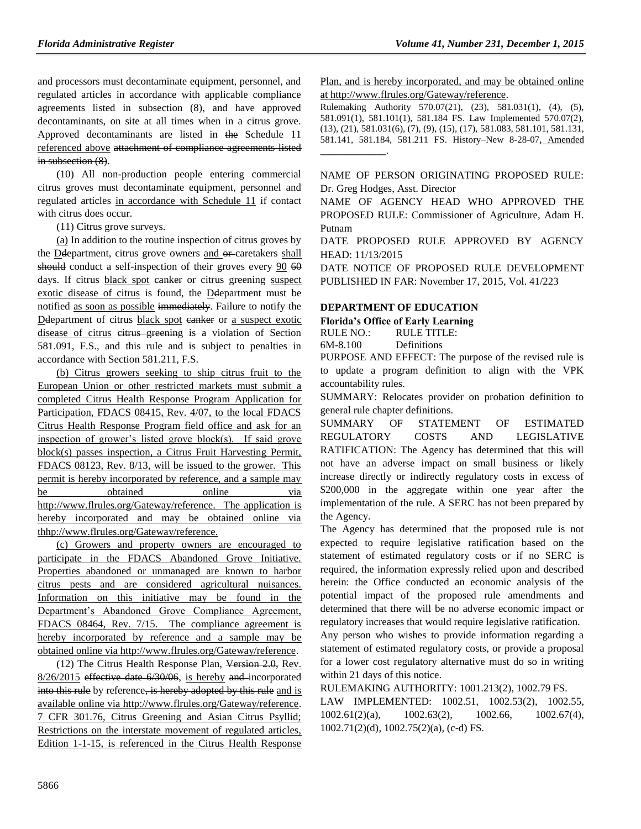and processors must decontaminate equipment, personnel, and regulated articles in accordance with applicable compliance agreements listed in subsection (8), and have approved decontaminants, on site at all times when in a citrus grove. Approved decontaminants are listed in the Schedule 11 referenced above attachment of compliance agreements listed in subsection (8).

(10) All non-production people entering commercial citrus groves must decontaminate equipment, personnel and regulated articles in accordance with Schedule 11 if contact with citrus does occur.

(11) Citrus grove surveys.

(a) In addition to the routine inspection of citrus groves by the Deepartment, citrus grove owners and or caretakers shall should conduct a self-inspection of their groves every 90 60 days. If citrus black spot eanker or citrus greening suspect exotic disease of citrus is found, the Ddepartment must be notified as soon as possible immediately. Failure to notify the Deepartment of citrus black spot eanker or a suspect exotic disease of citrus eitrus greening is a violation of Section 581.091, F.S., and this rule and is subject to penalties in accordance with Section 581.211, F.S.

(b) Citrus growers seeking to ship citrus fruit to the European Union or other restricted markets must submit a completed Citrus Health Response Program Application for Participation, FDACS 08415, Rev. 4/07, to the local FDACS Citrus Health Response Program field office and ask for an inspection of grower's listed grove block(s). If said grove block(s) passes inspection, a Citrus Fruit Harvesting Permit, FDACS 08123, Rev. 8/13, will be issued to the grower. This permit is hereby incorporated by reference, and a sample may be obtained online via http://www.flrules.org/Gateway/reference. The application is hereby incorporated and may be obtained online via thhp://www.flrules.org/Gateway/reference.

(c) Growers and property owners are encouraged to participate in the FDACS Abandoned Grove Initiative. Properties abandoned or unmanaged are known to harbor citrus pests and are considered agricultural nuisances. Information on this initiative may be found in the Department's Abandoned Grove Compliance Agreement, FDACS 08464, Rev. 7/15. The compliance agreement is hereby incorporated by reference and a sample may be obtained online via http://www.flrules.org/Gateway/reference.

(12) The Citrus Health Response Plan, Version 2.0, Rev. 8/26/2015 effective date 6/30/06, is hereby and incorporated into this rule by reference, is hereby adopted by this rule and is available online via http://www.flrules.org/Gateway/reference. 7 CFR 301.76, Citrus Greening and Asian Citrus Psyllid; Restrictions on the interstate movement of regulated articles, Edition 1-1-15, is referenced in the Citrus Health Response Plan, and is hereby incorporated, and may be obtained online at http://www.flrules.org/Gateway/reference.

Rulemaking Authority 570.07(21), (23), 581.031(1), (4), (5), 581.091(1), 581.101(1), 581.184 FS. Law Implemented 570.07(2), (13), (21), 581.031(6), (7), (9), (15), (17), 581.083, 581.101, 581.131, 581.141, 581.184, 581.211 FS. History–New 8-28-07, Amended  $\mathcal{L}=\mathcal{L}^{\text{max}}$  . The set of  $\mathcal{L}^{\text{max}}$ 

NAME OF PERSON ORIGINATING PROPOSED RULE: Dr. Greg Hodges, Asst. Director

NAME OF AGENCY HEAD WHO APPROVED THE PROPOSED RULE: Commissioner of Agriculture, Adam H. Putnam

DATE PROPOSED RULE APPROVED BY AGENCY HEAD: 11/13/2015

DATE NOTICE OF PROPOSED RULE DEVELOPMENT PUBLISHED IN FAR: November 17, 2015, Vol. 41/223

# **[DEPARTMENT OF EDUCATION](https://www.flrules.org/gateway/department.asp?id=6)**

**[Florida's Office of Early Learning](https://www.flrules.org/gateway/organization.asp?id=1044)**

RULE NO.: RULE TITLE:

[6M-8.100](https://www.flrules.org/gateway/ruleNo.asp?id=6M-8.100) Definitions

PURPOSE AND EFFECT: The purpose of the revised rule is to update a program definition to align with the VPK accountability rules.

SUMMARY: Relocates provider on probation definition to general rule chapter definitions.

SUMMARY OF STATEMENT OF ESTIMATED REGULATORY COSTS AND LEGISLATIVE RATIFICATION: The Agency has determined that this will not have an adverse impact on small business or likely increase directly or indirectly regulatory costs in excess of \$200,000 in the aggregate within one year after the implementation of the rule. A SERC has not been prepared by the Agency.

The Agency has determined that the proposed rule is not expected to require legislative ratification based on the statement of estimated regulatory costs or if no SERC is required, the information expressly relied upon and described herein: the Office conducted an economic analysis of the potential impact of the proposed rule amendments and determined that there will be no adverse economic impact or regulatory increases that would require legislative ratification.

Any person who wishes to provide information regarding a statement of estimated regulatory costs, or provide a proposal for a lower cost regulatory alternative must do so in writing within 21 days of this notice.

RULEMAKING AUTHORITY: [1001.213\(2\),](https://www.flrules.org/gateway/statute.asp?id=1001.213(2)) [1002.79 FS.](https://www.flrules.org/gateway/statute.asp?id=%201002.79%20FS.)

LAW IMPLEMENTED: [1002.51,](https://www.flrules.org/gateway/statute.asp?id=1002.51) [1002.53\(2\),](https://www.flrules.org/gateway/statute.asp?id=%201002.53(2)) [1002.55,](https://www.flrules.org/gateway/statute.asp?id=%201002.55) [1002.61\(2\)\(a\),](https://www.flrules.org/gateway/statute.asp?id=%201002.61(2)(a)) [1002.63\(2\),](https://www.flrules.org/gateway/statute.asp?id=%201002.63(2)) [1002.66,](https://www.flrules.org/gateway/statute.asp?id=%201002.66) [1002.67\(4\),](https://www.flrules.org/gateway/statute.asp?id=%201002.67(4)) [1002.71\(2\)\(d\),](https://www.flrules.org/gateway/statute.asp?id=%201002.71(2)(d)) [1002.75\(2\)\(a\),](https://www.flrules.org/gateway/statute.asp?id=%201002.75(2)(a)) (c-d) FS.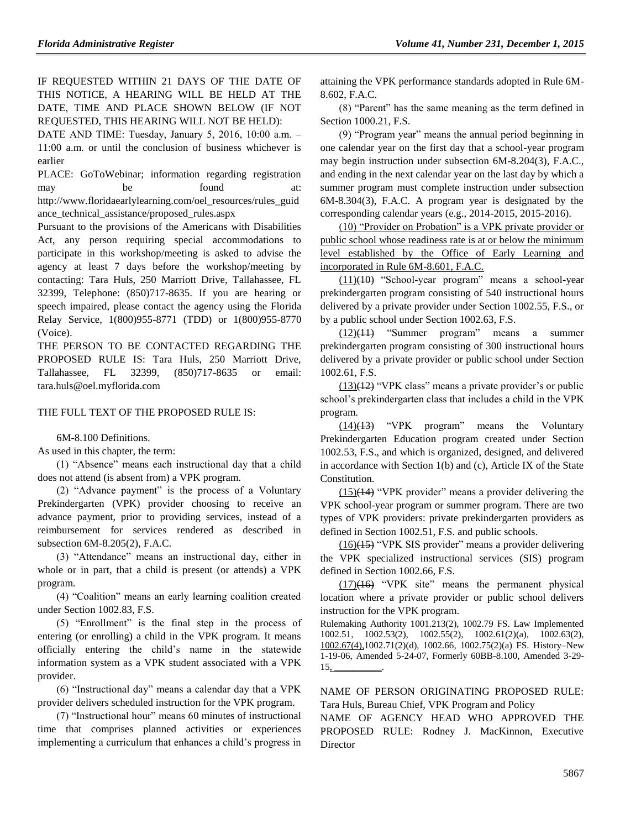IF REQUESTED WITHIN 21 DAYS OF THE DATE OF THIS NOTICE, A HEARING WILL BE HELD AT THE DATE, TIME AND PLACE SHOWN BELOW (IF NOT REQUESTED, THIS HEARING WILL NOT BE HELD):

DATE AND TIME: Tuesday, January 5, 2016, 10:00 a.m. ‒ 11:00 a.m. or until the conclusion of business whichever is earlier

PLACE: GoToWebinar; information regarding registration may be found at: http://www.floridaearlylearning.com/oel\_resources/rules\_guid ance\_technical\_assistance/proposed\_rules.aspx

Pursuant to the provisions of the Americans with Disabilities Act, any person requiring special accommodations to participate in this workshop/meeting is asked to advise the agency at least 7 days before the workshop/meeting by contacting: Tara Huls, 250 Marriott Drive, Tallahassee, FL 32399, Telephone: (850)717-8635. If you are hearing or speech impaired, please contact the agency using the Florida Relay Service, 1(800)955-8771 (TDD) or 1(800)955-8770 (Voice).

THE PERSON TO BE CONTACTED REGARDING THE PROPOSED RULE IS: Tara Huls, 250 Marriott Drive, Tallahassee, FL 32399, (850)717-8635 or email: tara.huls@oel.myflorida.com

# THE FULL TEXT OF THE PROPOSED RULE IS:

6M-8.100 Definitions.

As used in this chapter, the term:

(1) "Absence" means each instructional day that a child does not attend (is absent from) a VPK program.

(2) "Advance payment" is the process of a Voluntary Prekindergarten (VPK) provider choosing to receive an advance payment, prior to providing services, instead of a reimbursement for services rendered as described in subsection 6M-8.205(2), F.A.C.

(3) "Attendance" means an instructional day, either in whole or in part, that a child is present (or attends) a VPK program.

(4) "Coalition" means an early learning coalition created under Section 1002.83, F.S.

(5) "Enrollment" is the final step in the process of entering (or enrolling) a child in the VPK program. It means officially entering the child's name in the statewide information system as a VPK student associated with a VPK provider.

(6) "Instructional day" means a calendar day that a VPK provider delivers scheduled instruction for the VPK program.

(7) "Instructional hour" means 60 minutes of instructional time that comprises planned activities or experiences implementing a curriculum that enhances a child's progress in attaining the VPK performance standards adopted in Rule 6M-8.602, F.A.C.

(8) "Parent" has the same meaning as the term defined in Section 1000.21, F.S.

(9) "Program year" means the annual period beginning in one calendar year on the first day that a school-year program may begin instruction under subsection 6M-8.204(3), F.A.C., and ending in the next calendar year on the last day by which a summer program must complete instruction under subsection 6M-8.304(3), F.A.C. A program year is designated by the corresponding calendar years (e.g., 2014-2015, 2015-2016).

(10) "Provider on Probation" is a VPK private provider or public school whose readiness rate is at or below the minimum level established by the Office of Early Learning and incorporated in Rule 6M-8.601, F.A.C.

 $(11)(10)$  "School-year program" means a school-year prekindergarten program consisting of 540 instructional hours delivered by a private provider under Section 1002.55, F.S., or by a public school under Section 1002.63, F.S.

(12)(11) "Summer program" means a summer prekindergarten program consisting of 300 instructional hours delivered by a private provider or public school under Section 1002.61, F.S.

 $(13)(12)$  "VPK class" means a private provider's or public school's prekindergarten class that includes a child in the VPK program.

 $(14)$ (13) "VPK program" means the Voluntary Prekindergarten Education program created under Section 1002.53, F.S., and which is organized, designed, and delivered in accordance with Section 1(b) and (c), Article IX of the State Constitution.

 $(15)(14)$  "VPK provider" means a provider delivering the VPK school-year program or summer program. There are two types of VPK providers: private prekindergarten providers as defined in Section 1002.51, F.S. and public schools.

(16)(15) "VPK SIS provider" means a provider delivering the VPK specialized instructional services (SIS) program defined in Section 1002.66, F.S.

 $(17)(16)$  "VPK site" means the permanent physical location where a private provider or public school delivers instruction for the VPK program.

Rulemaking Authority 1001.213(2), 1002.79 FS. Law Implemented 1002.51, 1002.53(2), 1002.55(2), 1002.61(2)(a), 1002.63(2), 1002.67(4),1002.71(2)(d), 1002.66, 1002.75(2)(a) FS. History–New 1-19-06, Amended 5-24-07, Formerly 60BB-8.100, Amended 3-29-  $15$ <sub>,  $-$ </sub>

NAME OF PERSON ORIGINATING PROPOSED RULE: Tara Huls, Bureau Chief, VPK Program and Policy

NAME OF AGENCY HEAD WHO APPROVED THE PROPOSED RULE: Rodney J. MacKinnon, Executive **Director**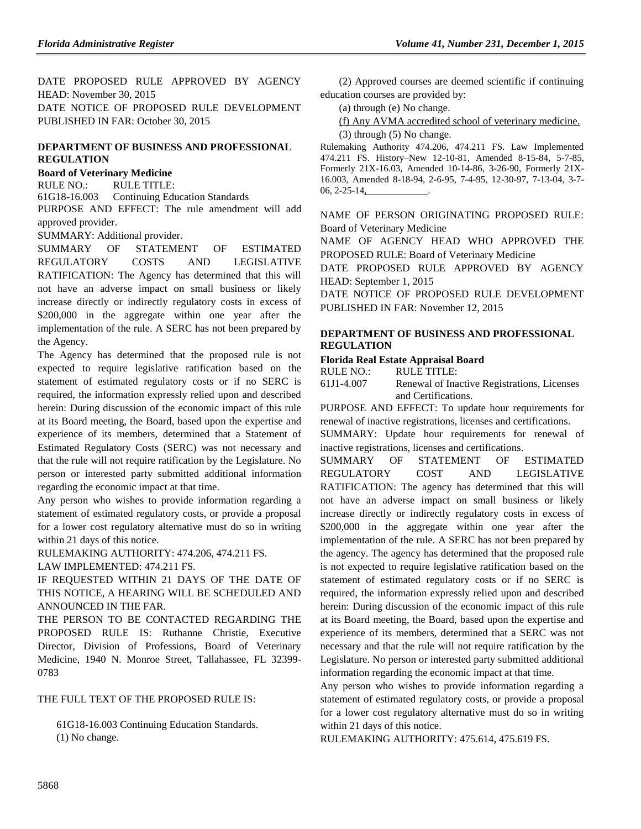DATE PROPOSED RULE APPROVED BY AGENCY HEAD: November 30, 2015 DATE NOTICE OF PROPOSED RULE DEVELOPMENT PUBLISHED IN FAR: October 30, 2015

# **[DEPARTMENT OF BUSINESS AND PROFESSIONAL](https://www.flrules.org/gateway/department.asp?id=61)  [REGULATION](https://www.flrules.org/gateway/department.asp?id=61)**

**[Board of Veterinary Medicine](https://www.flrules.org/gateway/organization.asp?id=270)**

RULE NO.: RULE TITLE:

[61G18-16.003](https://www.flrules.org/gateway/ruleNo.asp?id=61G18-16.003) Continuing Education Standards

PURPOSE AND EFFECT: The rule amendment will add approved provider.

SUMMARY: Additional provider.

SUMMARY OF STATEMENT OF ESTIMATED REGULATORY COSTS AND LEGISLATIVE RATIFICATION: The Agency has determined that this will not have an adverse impact on small business or likely increase directly or indirectly regulatory costs in excess of \$200,000 in the aggregate within one year after the implementation of the rule. A SERC has not been prepared by the Agency.

The Agency has determined that the proposed rule is not expected to require legislative ratification based on the statement of estimated regulatory costs or if no SERC is required, the information expressly relied upon and described herein: During discussion of the economic impact of this rule at its Board meeting, the Board, based upon the expertise and experience of its members, determined that a Statement of Estimated Regulatory Costs (SERC) was not necessary and that the rule will not require ratification by the Legislature. No person or interested party submitted additional information regarding the economic impact at that time.

Any person who wishes to provide information regarding a statement of estimated regulatory costs, or provide a proposal for a lower cost regulatory alternative must do so in writing within 21 days of this notice.

RULEMAKING AUTHORITY: [474.206, 474.211 FS.](https://www.flrules.org/gateway/cfr.asp?id=474.206,%20474.211%20FS)

LAW IMPLEMENTED: [474.211 FS.](https://www.flrules.org/gateway/cfr.asp?id=474.211%20FS)

IF REQUESTED WITHIN 21 DAYS OF THE DATE OF THIS NOTICE, A HEARING WILL BE SCHEDULED AND ANNOUNCED IN THE FAR.

THE PERSON TO BE CONTACTED REGARDING THE PROPOSED RULE IS: Ruthanne Christie, Executive Director, Division of Professions, Board of Veterinary Medicine, 1940 N. Monroe Street, Tallahassee, FL 32399- 0783

# THE FULL TEXT OF THE PROPOSED RULE IS:

61G18-16.003 Continuing Education Standards. (1) No change.

(2) Approved courses are deemed scientific if continuing education courses are provided by:

(a) through (e) No change.

(f) Any AVMA accredited school of veterinary medicine. (3) through (5) No change.

Rulemaking Authority 474.206, 474.211 FS. Law Implemented 474.211 FS. History–New 12-10-81, Amended 8-15-84, 5-7-85, Formerly 21X-16.03, Amended 10-14-86, 3-26-90, Formerly 21X-16.003, Amended 8-18-94, 2-6-95, 7-4-95, 12-30-97, 7-13-04, 3-7- 06, 2-25-14, .

NAME OF PERSON ORIGINATING PROPOSED RULE: Board of Veterinary Medicine

NAME OF AGENCY HEAD WHO APPROVED THE PROPOSED RULE: Board of Veterinary Medicine

DATE PROPOSED RULE APPROVED BY AGENCY HEAD: September 1, 2015

DATE NOTICE OF PROPOSED RULE DEVELOPMENT PUBLISHED IN FAR: November 12, 2015

# **[DEPARTMENT OF BUSINESS AND](file://OAGNT53/gateway/department.asp%3fid=61) PROFESSIONAL [REGULATION](file://OAGNT53/gateway/department.asp%3fid=61)**

# **[Florida Real Estate Appraisal Board](file://OAGNT53/gateway/organization.asp%3fid=282)**

RULE NO.: RULE TITLE:

61J1-4.007 Renewal of Inactive Registrations, Licenses and Certifications.

PURPOSE AND EFFECT: To update hour requirements for renewal of inactive registrations, licenses and certifications.

SUMMARY: Update hour requirements for renewal of inactive registrations, licenses and certifications.

SUMMARY OF STATEMENT OF ESTIMATED REGULATORY COST AND LEGISLATIVE RATIFICATION: The agency has determined that this will not have an adverse impact on small business or likely increase directly or indirectly regulatory costs in excess of \$200,000 in the aggregate within one year after the implementation of the rule. A SERC has not been prepared by the agency. The agency has determined that the proposed rule is not expected to require legislative ratification based on the statement of estimated regulatory costs or if no SERC is required, the information expressly relied upon and described herein: During discussion of the economic impact of this rule at its Board meeting, the Board, based upon the expertise and experience of its members, determined that a SERC was not necessary and that the rule will not require ratification by the Legislature. No person or interested party submitted additional information regarding the economic impact at that time.

Any person who wishes to provide information regarding a statement of estimated regulatory costs, or provide a proposal for a lower cost regulatory alternative must do so in writing within 21 days of this notice.

RULEMAKING AUTHORITY: 475.614, 475.619 FS.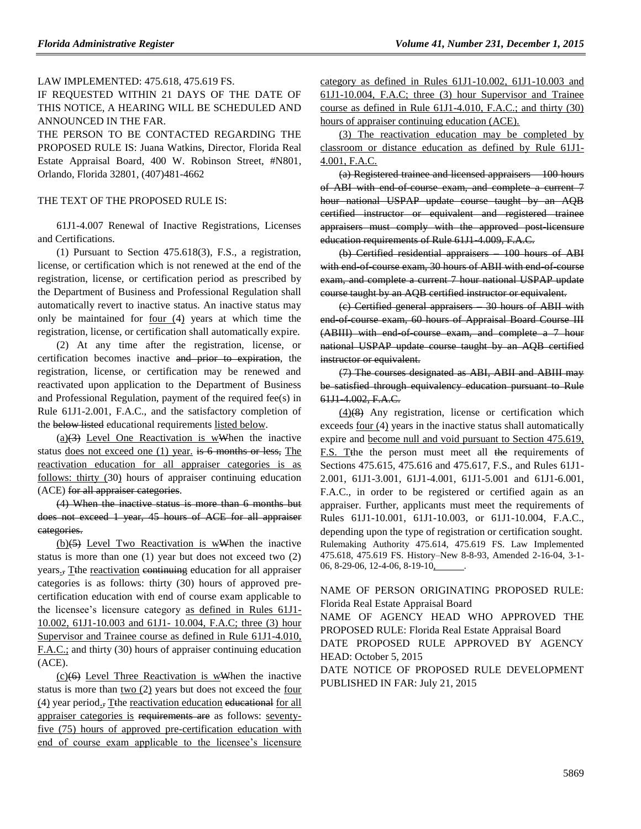LAW IMPLEMENTED: 475.618, 475.619 FS.

IF REQUESTED WITHIN 21 DAYS OF THE DATE OF THIS NOTICE, A HEARING WILL BE SCHEDULED AND ANNOUNCED IN THE FAR.

THE PERSON TO BE CONTACTED REGARDING THE PROPOSED RULE IS: Juana Watkins, Director, Florida Real Estate Appraisal Board, 400 W. Robinson Street, #N801, Orlando, Florida 32801, (407)481-4662

#### THE TEXT OF THE PROPOSED RULE IS:

61J1-4.007 Renewal of Inactive Registrations, Licenses and Certifications.

(1) Pursuant to Section 475.618(3), F.S., a registration, license, or certification which is not renewed at the end of the registration, license, or certification period as prescribed by the Department of Business and Professional Regulation shall automatically revert to inactive status. An inactive status may only be maintained for four (4) years at which time the registration, license, or certification shall automatically expire.

(2) At any time after the registration, license, or certification becomes inactive and prior to expiration, the registration, license, or certification may be renewed and reactivated upon application to the Department of Business and Professional Regulation, payment of the required fee(s) in Rule 61J1-2.001, F.A.C., and the satisfactory completion of the below listed educational requirements listed below.

 $(a)(3)$  Level One Reactivation is w<sup>W</sup>hen the inactive status does not exceed one (1) year. is 6 months or less, The reactivation education for all appraiser categories is as follows: thirty (30) hours of appraiser continuing education (ACE) for all appraiser categories.

(4) When the inactive status is more than 6 months but does not exceed 1 year, 45 hours of ACE for all appraiser categories.

 $(b)(5)$  Level Two Reactivation is wWhen the inactive status is more than one (1) year but does not exceed two (2) years., The reactivation continuing education for all appraiser categories is as follows: thirty (30) hours of approved precertification education with end of course exam applicable to the licensee's licensure category as defined in Rules 61J1- 10.002, 61J1-10.003 and 61J1- 10.004, F.A.C; three (3) hour Supervisor and Trainee course as defined in Rule 61J1-4.010, F.A.C.; and thirty (30) hours of appraiser continuing education (ACE).

 $(c)(6)$  Level Three Reactivation is wWhen the inactive status is more than two  $(2)$  years but does not exceed the four (4) year period., Tthe reactivation education educational for all appraiser categories is requirements are as follows: seventyfive (75) hours of approved pre-certification education with end of course exam applicable to the licensee's licensure category as defined in Rules 61J1-10.002, 61J1-10.003 and 61J1-10.004, F.A.C; three (3) hour Supervisor and Trainee course as defined in Rule 61J1-4.010, F.A.C.; and thirty (30) hours of appraiser continuing education (ACE).

(3) The reactivation education may be completed by classroom or distance education as defined by Rule 61J1- 4.001, F.A.C.

(a) Registered trainee and licensed appraisers – 100 hours of ABI with end of course exam, and complete a current 7 hour national USPAP update course taught by an AQB certified instructor or equivalent and registered trainee appraisers must comply with the approved post-licensure education requirements of Rule 61J1-4.009, F.A.C.

(b) Certified residential appraisers – 100 hours of ABI with end-of-course exam, 30 hours of ABII with end-of-course exam, and complete a current 7 hour national USPAP update course taught by an AQB certified instructor or equivalent.

(c) Certified general appraisers – 30 hours of ABII with end-of-course exam, 60 hours of Appraisal Board Course III (ABIII) with end of course exam, and complete a 7 hour national USPAP update course taught by an AQB certified instructor or equivalent.

(7) The courses designated as ABI, ABII and ABIII may be satisfied through equivalency education pursuant to Rule 61J1-4.002, F.A.C.

(4)(8) Any registration, license or certification which exceeds four (4) years in the inactive status shall automatically expire and become null and void pursuant to Section 475.619, F.S. Tthe the person must meet all the requirements of Sections 475.615, 475.616 and 475.617, F.S., and Rules 61J1- 2.001, 61J1-3.001, 61J1-4.001, 61J1-5.001 and 61J1-6.001, F.A.C., in order to be registered or certified again as an appraiser. Further, applicants must meet the requirements of Rules 61J1-10.001, 61J1-10.003, or 61J1-10.004, F.A.C., depending upon the type of registration or certification sought. Rulemaking Authority 475.614, 475.619 FS. Law Implemented 475.618, 475.619 FS. History–New 8-8-93, Amended 2-16-04, 3-1- 06, 8-29-06, 12-4-06, 8-19-10, .

NAME OF PERSON ORIGINATING PROPOSED RULE: Florida Real Estate Appraisal Board

NAME OF AGENCY HEAD WHO APPROVED THE PROPOSED RULE: Florida Real Estate Appraisal Board DATE PROPOSED RULE APPROVED BY AGENCY HEAD: October 5, 2015

DATE NOTICE OF PROPOSED RULE DEVELOPMENT PUBLISHED IN FAR: July 21, 2015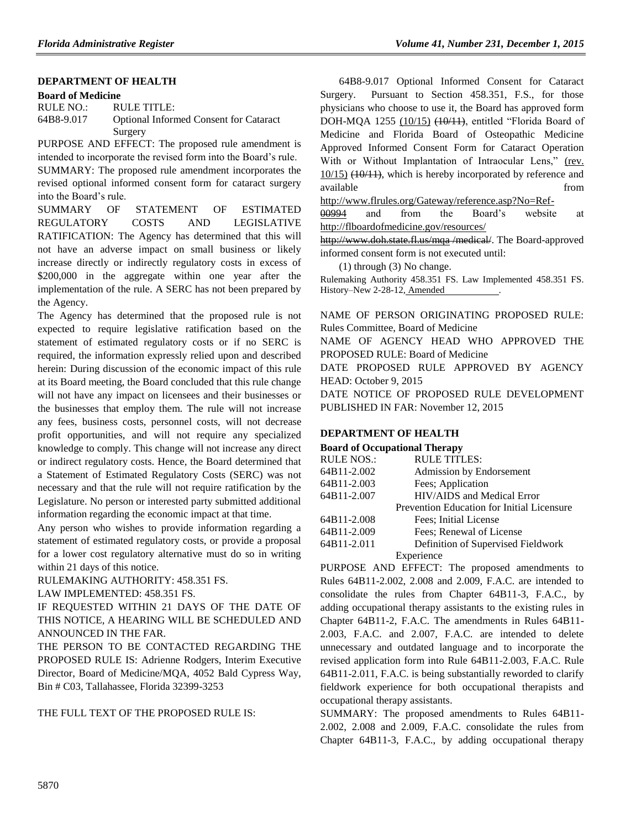# **[DEPARTMENT OF HEALTH](https://www.flrules.org/gateway/department.asp?id=64)**

#### **[Board of Medicine](https://www.flrules.org/gateway/organization.asp?id=331)**

RULE NO.: RULE TITLE: [64B8-9.017](https://www.flrules.org/gateway/ruleNo.asp?id=64B8-9.017) Optional Informed Consent for Cataract Surgery

PURPOSE AND EFFECT: The proposed rule amendment is intended to incorporate the revised form into the Board's rule. SUMMARY: The proposed rule amendment incorporates the revised optional informed consent form for cataract surgery into the Board's rule.

SUMMARY OF STATEMENT OF ESTIMATED REGULATORY COSTS AND LEGISLATIVE RATIFICATION: The Agency has determined that this will not have an adverse impact on small business or likely increase directly or indirectly regulatory costs in excess of \$200,000 in the aggregate within one year after the implementation of the rule. A SERC has not been prepared by the Agency.

The Agency has determined that the proposed rule is not expected to require legislative ratification based on the statement of estimated regulatory costs or if no SERC is required, the information expressly relied upon and described herein: During discussion of the economic impact of this rule at its Board meeting, the Board concluded that this rule change will not have any impact on licensees and their businesses or the businesses that employ them. The rule will not increase any fees, business costs, personnel costs, will not decrease profit opportunities, and will not require any specialized knowledge to comply. This change will not increase any direct or indirect regulatory costs. Hence, the Board determined that a Statement of Estimated Regulatory Costs (SERC) was not necessary and that the rule will not require ratification by the Legislature. No person or interested party submitted additional information regarding the economic impact at that time.

Any person who wishes to provide information regarding a statement of estimated regulatory costs, or provide a proposal for a lower cost regulatory alternative must do so in writing within 21 days of this notice.

RULEMAKING AUTHORITY: [458.351 FS.](https://www.flrules.org/gateway/statute.asp?id=458.351%20FS.)

LAW IMPLEMENTED: [458.351 FS.](https://www.flrules.org/gateway/statute.asp?id=458.351%20FS.)

IF REQUESTED WITHIN 21 DAYS OF THE DATE OF THIS NOTICE, A HEARING WILL BE SCHEDULED AND ANNOUNCED IN THE FAR.

THE PERSON TO BE CONTACTED REGARDING THE PROPOSED RULE IS: Adrienne Rodgers, Interim Executive Director, Board of Medicine/MQA, 4052 Bald Cypress Way, Bin # C03, Tallahassee, Florida 32399-3253

THE FULL TEXT OF THE PROPOSED RULE IS:

64B8-9.017 Optional Informed Consent for Cataract Surgery. Pursuant to Section 458.351, F.S., for those physicians who choose to use it, the Board has approved form DOH-MQA 1255 (10/15) (10/11), entitled "Florida Board of Medicine and Florida Board of Osteopathic Medicine Approved Informed Consent Form for Cataract Operation With or Without Implantation of Intraocular Lens," (rev. 10/15) (10/11), which is hereby incorporated by reference and available from the state of  $\mathbb{R}^n$  available from the state of  $\mathbb{R}^n$  available

[http://www.flrules.org/Gateway/reference.asp?No=Ref-](http://www.flrules.org/Gateway/reference.asp?No=Ref-%20%20%20%20%20%20%20%2000994)

[00994](http://www.flrules.org/Gateway/reference.asp?No=Ref-%20%20%20%20%20%20%20%2000994) and from the Board's website at <http://flboardofmedicine.gov/resources/>

<http://www.doh.state.fl.us/mqa> /medical/. The Board-approved informed consent form is not executed until:

(1) through (3) No change.

Rulemaking Authority 458.351 FS. Law Implemented 458.351 FS. History-New 2-28-12, Amended

NAME OF PERSON ORIGINATING PROPOSED RULE: Rules Committee, Board of Medicine NAME OF AGENCY HEAD WHO APPROVED THE PROPOSED RULE: Board of Medicine DATE PROPOSED RULE APPROVED BY AGENCY HEAD: October 9, 2015 DATE NOTICE OF PROPOSED RULE DEVELOPMENT

PUBLISHED IN FAR: November 12, 2015

# **[DEPARTMENT OF HEALTH](https://www.flrules.org/gateway/department.asp?id=64)**

#### **[Board of Occupational Therapy](https://www.flrules.org/gateway/organization.asp?id=302)**

| <b>RULE NOS.:</b> | <b>RULE TITLES:</b>                               |
|-------------------|---------------------------------------------------|
| 64B11-2.002       | Admission by Endorsement                          |
| 64B11-2.003       | Fees; Application                                 |
| 64B11-2.007       | HIV/AIDS and Medical Error                        |
|                   | <b>Prevention Education for Initial Licensure</b> |
| 64B11-2.008       | Fees: Initial License                             |
| 64B11-2.009       | Fees: Renewal of License                          |
| 64B11-2.011       | Definition of Supervised Fieldwork                |
|                   | Experience                                        |

PURPOSE AND EFFECT: The proposed amendments to Rules 64B11-2.002, 2.008 and 2.009, F.A.C. are intended to consolidate the rules from Chapter 64B11-3, F.A.C., by adding occupational therapy assistants to the existing rules in Chapter 64B11-2, F.A.C. The amendments in Rules 64B11- 2.003, F.A.C. and 2.007, F.A.C. are intended to delete unnecessary and outdated language and to incorporate the revised application form into Rule 64B11-2.003, F.A.C. Rule 64B11-2.011, F.A.C. is being substantially reworded to clarify fieldwork experience for both occupational therapists and occupational therapy assistants.

SUMMARY: The proposed amendments to Rules 64B11- 2.002, 2.008 and 2.009, F.A.C. consolidate the rules from Chapter 64B11-3, F.A.C., by adding occupational therapy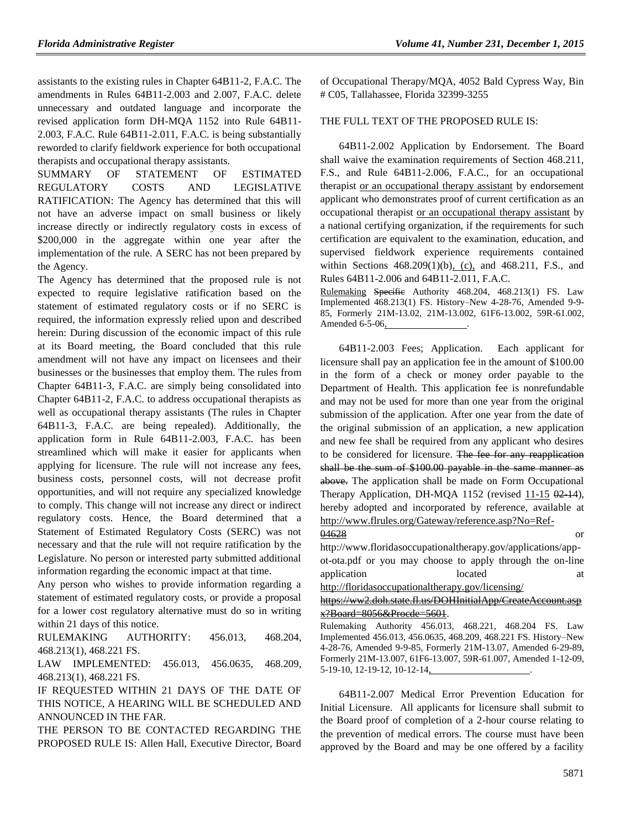assistants to the existing rules in Chapter 64B11-2, F.A.C. The amendments in Rules 64B11-2.003 and 2.007, F.A.C. delete unnecessary and outdated language and incorporate the revised application form DH-MQA 1152 into Rule 64B11- 2.003, F.A.C. Rule 64B11-2.011, F.A.C. is being substantially reworded to clarify fieldwork experience for both occupational therapists and occupational therapy assistants.

SUMMARY OF STATEMENT OF ESTIMATED REGULATORY COSTS AND LEGISLATIVE RATIFICATION: The Agency has determined that this will not have an adverse impact on small business or likely increase directly or indirectly regulatory costs in excess of \$200,000 in the aggregate within one year after the implementation of the rule. A SERC has not been prepared by the Agency.

The Agency has determined that the proposed rule is not expected to require legislative ratification based on the statement of estimated regulatory costs or if no SERC is required, the information expressly relied upon and described herein: During discussion of the economic impact of this rule at its Board meeting, the Board concluded that this rule amendment will not have any impact on licensees and their businesses or the businesses that employ them. The rules from Chapter 64B11-3, F.A.C. are simply being consolidated into Chapter 64B11-2, F.A.C. to address occupational therapists as well as occupational therapy assistants (The rules in Chapter 64B11-3, F.A.C. are being repealed). Additionally, the application form in Rule 64B11-2.003, F.A.C. has been streamlined which will make it easier for applicants when applying for licensure. The rule will not increase any fees, business costs, personnel costs, will not decrease profit opportunities, and will not require any specialized knowledge to comply. This change will not increase any direct or indirect regulatory costs. Hence, the Board determined that a Statement of Estimated Regulatory Costs (SERC) was not necessary and that the rule will not require ratification by the Legislature. No person or interested party submitted additional information regarding the economic impact at that time.

Any person who wishes to provide information regarding a statement of estimated regulatory costs, or provide a proposal for a lower cost regulatory alternative must do so in writing within 21 days of this notice.

RULEMAKING AUTHORITY: [456.013,](https://www.flrules.org/gateway/statute.asp?id=456.013) [468.204,](https://www.flrules.org/gateway/statute.asp?id=%20468.204) [468.213\(1\),](https://www.flrules.org/gateway/statute.asp?id=%20468.213(1)) [468.221](https://www.flrules.org/gateway/statute.asp?id=%20468.221) FS.

LAW IMPLEMENTED: [456.013,](https://www.flrules.org/gateway/statute.asp?id=456.013) [456.0635,](https://www.flrules.org/gateway/statute.asp?id=%20456.0635) [468.209,](https://www.flrules.org/gateway/statute.asp?id=%20468.209) [468.213\(1\),](https://www.flrules.org/gateway/statute.asp?id=%20468.213(1)) [468.221 FS.](https://www.flrules.org/gateway/statute.asp?id=%20468.221%20%20FS.)

IF REQUESTED WITHIN 21 DAYS OF THE DATE OF THIS NOTICE, A HEARING WILL BE SCHEDULED AND ANNOUNCED IN THE FAR.

THE PERSON TO BE CONTACTED REGARDING THE PROPOSED RULE IS: Allen Hall, Executive Director, Board of Occupational Therapy/MQA, 4052 Bald Cypress Way, Bin # C05, Tallahassee, Florida 32399-3255

# THE FULL TEXT OF THE PROPOSED RULE IS:

64B11-2.002 Application by Endorsement. The Board shall waive the examination requirements of Section 468.211, F.S., and Rule 64B11-2.006, F.A.C., for an occupational therapist or an occupational therapy assistant by endorsement applicant who demonstrates proof of current certification as an occupational therapist or an occupational therapy assistant by a national certifying organization, if the requirements for such certification are equivalent to the examination, education, and supervised fieldwork experience requirements contained within Sections 468.209(1)(b), (c), and 468.211, F.S., and Rules 64B11-2.006 and 64B11-2.011, F.A.C.

Rulemaking Specific Authority 468.204, 468.213(1) FS. Law Implemented 468.213(1) FS. History–New 4-28-76, Amended 9-9- 85, Formerly 21M-13.02, 21M-13.002, 61F6-13.002, 59R-61.002, Amended 6-5-06, .

64B11-2.003 Fees; Application. Each applicant for licensure shall pay an application fee in the amount of \$100.00 in the form of a check or money order payable to the Department of Health. This application fee is nonrefundable and may not be used for more than one year from the original submission of the application. After one year from the date of the original submission of an application, a new application and new fee shall be required from any applicant who desires to be considered for licensure. The fee for any reapplication shall be the sum of \$100.00 payable in the same manner as above. The application shall be made on Form Occupational Therapy Application, DH-MQA 1152 (revised  $11-15$   $02-14$ ), hereby adopted and incorporated by reference, available at [http://www.flrules.org/Gateway/reference.asp?No=Ref-](http://www.flrules.org/Gateway/reference.asp?No=Ref-%20%20%20%20%20%20%20%20%20%20%20%2004628)

 $\frac{0.4628}{0}$  or http://www.floridasoccupationaltherapy.gov/applications/appot-ota.pdf or you may choose to apply through the on-line application located at a located at a set of  $\alpha$  at a located at a set of  $\alpha$  at a set of  $\alpha$  at a set of  $\alpha$  at a set of  $\alpha$  at a set of  $\alpha$  at a set of  $\alpha$  at a set of  $\alpha$  at a set of  $\alpha$  at a set of  $\alpha$  at a s <http://floridasoccupationaltherapy.gov/licensing/>

# [https://ww2.doh.state.fl.us/DOHInitialApp/CreateAccount.asp](https://ww2.doh.state.fl.us/DOHInitialApp/CreateAccount.aspx?Board=8056&Procde=5601) [x?Board=8056&Procde=5601.](https://ww2.doh.state.fl.us/DOHInitialApp/CreateAccount.aspx?Board=8056&Procde=5601)

Rulemaking Authority 456.013, 468.221, 468.204 FS. Law Implemented 456.013, 456.0635, 468.209, 468.221 FS. History–New 4-28-76, Amended 9-9-85, Formerly 21M-13.07, Amended 6-29-89, Formerly 21M-13.007, 61F6-13.007, 59R-61.007, Amended 1-12-09, 5-19-10, 12-19-12, 10-12-14, .

64B11-2.007 Medical Error Prevention Education for Initial Licensure. All applicants for licensure shall submit to the Board proof of completion of a 2-hour course relating to the prevention of medical errors. The course must have been approved by the Board and may be one offered by a facility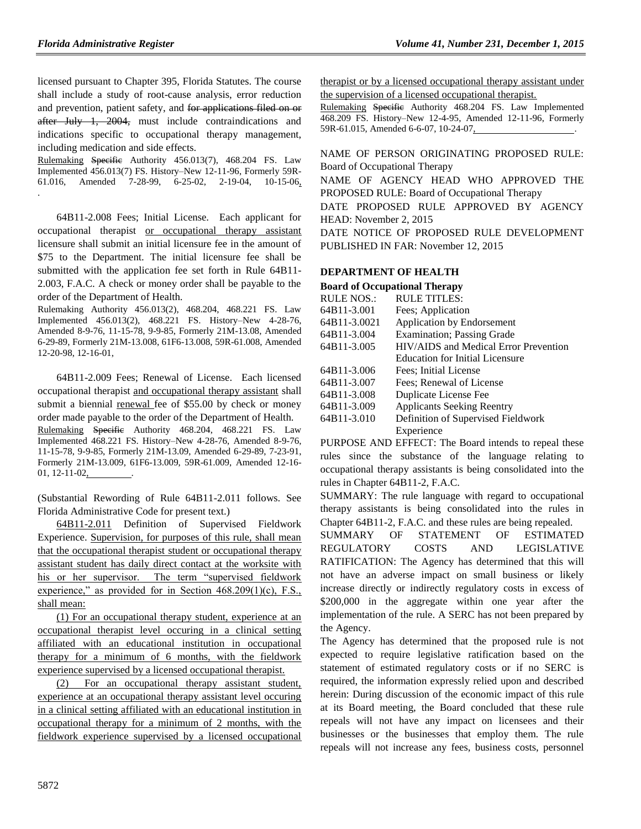licensed pursuant to Chapter 395, Florida Statutes. The course shall include a study of root-cause analysis, error reduction and prevention, patient safety, and for applications filed on or after July 1, 2004, must include contraindications and indications specific to occupational therapy management, including medication and side effects.

Rulemaking Specific Authority 456.013(7), 468.204 FS. Law Implemented 456.013(7) FS. History–New 12-11-96, Formerly 59R-61.016, Amended 7-28-99, 6-25-02, 2-19-04, 10-15-06, .

64B11-2.008 Fees; Initial License. Each applicant for occupational therapist or occupational therapy assistant licensure shall submit an initial licensure fee in the amount of \$75 to the Department. The initial licensure fee shall be submitted with the application fee set forth in Rule 64B11- 2.003, F.A.C. A check or money order shall be payable to the order of the Department of Health.

Rulemaking Authority 456.013(2), 468.204, 468.221 FS. Law Implemented 456.013(2), 468.221 FS. History–New 4-28-76, Amended 8-9-76, 11-15-78, 9-9-85, Formerly 21M-13.08, Amended 6-29-89, Formerly 21M-13.008, 61F6-13.008, 59R-61.008, Amended 12-20-98, 12-16-01,

64B11-2.009 Fees; Renewal of License. Each licensed occupational therapist and occupational therapy assistant shall submit a biennial renewal fee of \$55.00 by check or money order made payable to the order of the Department of Health. Rulemaking Specific Authority 468.204, 468.221 FS. Law Implemented 468.221 FS. History–New 4-28-76, Amended 8-9-76, 11-15-78, 9-9-85, Formerly 21M-13.09, Amended 6-29-89, 7-23-91, Formerly 21M-13.009, 61F6-13.009, 59R-61.009, Amended 12-16- 01,  $12 - 11 - 02$ ,

(Substantial Rewording of Rule 64B11-2.011 follows. See Florida Administrative Code for present text.)

[64B11-2.011](https://www.flrules.org/gateway/ruleNo.asp?id=64B11-2.011) Definition of Supervised Fieldwork Experience. Supervision, for purposes of this rule, shall mean that the occupational therapist student or occupational therapy assistant student has daily direct contact at the worksite with his or her supervisor. The term "supervised fieldwork experience," as provided for in Section 468.209(1)(c), F.S., shall mean:

(1) For an occupational therapy student, experience at an occupational therapist level occuring in a clinical setting affiliated with an educational institution in occupational therapy for a minimum of 6 months, with the fieldwork experience supervised by a licensed occupational therapist.

(2) For an occupational therapy assistant student, experience at an occupational therapy assistant level occuring in a clinical setting affiliated with an educational institution in occupational therapy for a minimum of 2 months, with the fieldwork experience supervised by a licensed occupational therapist or by a licensed occupational therapy assistant under the supervision of a licensed occupational therapist.

Rulemaking Specific Authority 468.204 FS. Law Implemented 468.209 FS. History–New 12-4-95, Amended 12-11-96, Formerly 59R-61.015, Amended 6-6-07, 10-24-07,

NAME OF PERSON ORIGINATING PROPOSED RULE: Board of Occupational Therapy

NAME OF AGENCY HEAD WHO APPROVED THE PROPOSED RULE: Board of Occupational Therapy

DATE PROPOSED RULE APPROVED BY AGENCY HEAD: November 2, 2015

DATE NOTICE OF PROPOSED RULE DEVELOPMENT PUBLISHED IN FAR: November 12, 2015

# **[DEPARTMENT OF HEALTH](https://www.flrules.org/gateway/department.asp?id=64)**

| Board of Occupational Therapy |                                              |
|-------------------------------|----------------------------------------------|
| RULE NOS.:                    | <b>RULE TITLES:</b>                          |
| 64B11-3.001                   | Fees; Application                            |
| 64B11-3.0021                  | <b>Application by Endorsement</b>            |
| 64B11-3.004                   | Examination; Passing Grade                   |
| 64B11-3.005                   | <b>HIV/AIDS</b> and Medical Error Prevention |
|                               | <b>Education for Initial Licensure</b>       |
| 64B11-3.006                   | Fees; Initial License                        |
| 64B11-3.007                   | Fees: Renewal of License                     |
| 64B11-3.008                   | Duplicate License Fee                        |
| 64B11-3.009                   | <b>Applicants Seeking Reentry</b>            |
| 64B11-3.010                   | Definition of Supervised Fieldwork           |
|                               | Experience                                   |

PURPOSE AND EFFECT: The Board intends to repeal these rules since the substance of the language relating to occupational therapy assistants is being consolidated into the rules in Chapter 64B11-2, F.A.C.

SUMMARY: The rule language with regard to occupational therapy assistants is being consolidated into the rules in Chapter 64B11-2, F.A.C. and these rules are being repealed.

SUMMARY OF STATEMENT OF ESTIMATED REGULATORY COSTS AND LEGISLATIVE RATIFICATION: The Agency has determined that this will not have an adverse impact on small business or likely increase directly or indirectly regulatory costs in excess of \$200,000 in the aggregate within one year after the implementation of the rule. A SERC has not been prepared by the Agency.

The Agency has determined that the proposed rule is not expected to require legislative ratification based on the statement of estimated regulatory costs or if no SERC is required, the information expressly relied upon and described herein: During discussion of the economic impact of this rule at its Board meeting, the Board concluded that these rule repeals will not have any impact on licensees and their businesses or the businesses that employ them. The rule repeals will not increase any fees, business costs, personnel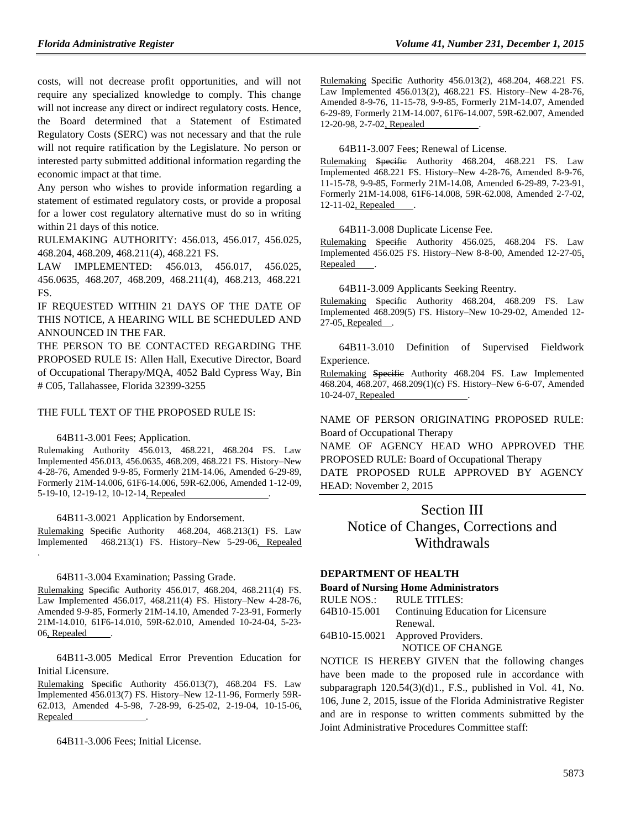costs, will not decrease profit opportunities, and will not require any specialized knowledge to comply. This change will not increase any direct or indirect regulatory costs. Hence, the Board determined that a Statement of Estimated Regulatory Costs (SERC) was not necessary and that the rule will not require ratification by the Legislature. No person or interested party submitted additional information regarding the economic impact at that time.

Any person who wishes to provide information regarding a statement of estimated regulatory costs, or provide a proposal for a lower cost regulatory alternative must do so in writing within 21 days of this notice.

RULEMAKING AUTHORITY: [456.013,](https://www.flrules.org/gateway/statute.asp?id=456.013) [456.017,](https://www.flrules.org/gateway/statute.asp?id=%20456.017) [456.025,](https://www.flrules.org/gateway/statute.asp?id=%20456.025) [468.204,](https://www.flrules.org/gateway/statute.asp?id=%20468.204) [468.209,](https://www.flrules.org/gateway/statute.asp?id=%20468.209) [468.211\(4\),](https://www.flrules.org/gateway/statute.asp?id=%20468.211(4)) [468.221](https://www.flrules.org/gateway/statute.asp?id=%20468.221) FS.

LAW IMPLEMENTED: [456.013, 456.017, 456.025,](https://www.flrules.org/gateway/cfr.asp?id=456.013,%20456.017,%20456.025,%20456.0635,%20468.207,%20468.209,%20468.211(4),%20468.213,%20468.221%20FS)  [456.0635, 468.207, 468.209, 468.211\(4\), 468.213, 468.221](https://www.flrules.org/gateway/cfr.asp?id=456.013,%20456.017,%20456.025,%20456.0635,%20468.207,%20468.209,%20468.211(4),%20468.213,%20468.221%20FS)  [FS.](https://www.flrules.org/gateway/cfr.asp?id=456.013,%20456.017,%20456.025,%20456.0635,%20468.207,%20468.209,%20468.211(4),%20468.213,%20468.221%20FS)

IF REQUESTED WITHIN 21 DAYS OF THE DATE OF THIS NOTICE, A HEARING WILL BE SCHEDULED AND ANNOUNCED IN THE FAR.

THE PERSON TO BE CONTACTED REGARDING THE PROPOSED RULE IS: Allen Hall, Executive Director, Board of Occupational Therapy/MQA, 4052 Bald Cypress Way, Bin # C05, Tallahassee, Florida 32399-3255

THE FULL TEXT OF THE PROPOSED RULE IS:

#### 64B11-3.001 Fees; Application.

Rulemaking Authority 456.013, 468.221, 468.204 FS. Law Implemented 456.013, 456.0635, 468.209, 468.221 FS. History–New 4-28-76, Amended 9-9-85, Formerly 21M-14.06, Amended 6-29-89, Formerly 21M-14.006, 61F6-14.006, 59R-62.006, Amended 1-12-09, 5-19-10, 12-19-12, 10-12-14, Repealed .

# 64B11-3.0021 Application by Endorsement.

Rulemaking Specific Authority 468.204, 468.213(1) FS. Law Implemented 468.213(1) FS. History–New 5-29-06, Repealed .

#### 64B11-3.004 Examination; Passing Grade.

Rulemaking Specific Authority 456.017, 468.204, 468.211(4) FS. Law Implemented 456.017, 468.211(4) FS. History–New 4-28-76, Amended 9-9-85, Formerly 21M-14.10, Amended 7-23-91, Formerly 21M-14.010, 61F6-14.010, 59R-62.010, Amended 10-24-04, 5-23- 06, Repealed

64B11-3.005 Medical Error Prevention Education for Initial Licensure.

Rulemaking Specific Authority 456.013(7), 468.204 FS. Law Implemented 456.013(7) FS. History–New 12-11-96, Formerly 59R-62.013, Amended 4-5-98, 7-28-99, 6-25-02, 2-19-04, 10-15-06, **Repealed** 

64B11-3.006 Fees; Initial License.

Rulemaking Specific Authority 456.013(2), 468.204, 468.221 FS. Law Implemented 456.013(2), 468.221 FS. History–New 4-28-76, Amended 8-9-76, 11-15-78, 9-9-85, Formerly 21M-14.07, Amended 6-29-89, Formerly 21M-14.007, 61F6-14.007, 59R-62.007, Amended 12-20-98, 2-7-02, Repealed .

#### 64B11-3.007 Fees; Renewal of License.

Rulemaking Specific Authority 468.204, 468.221 FS. Law Implemented 468.221 FS. History–New 4-28-76, Amended 8-9-76, 11-15-78, 9-9-85, Formerly 21M-14.08, Amended 6-29-89, 7-23-91, Formerly 21M-14.008, 61F6-14.008, 59R-62.008, Amended 2-7-02, 12-11-02, Repealed .

64B11-3.008 Duplicate License Fee.

Rulemaking Specific Authority 456.025, 468.204 FS. Law Implemented 456.025 FS. History–New 8-8-00, Amended 12-27-05, Repealed

#### 64B11-3.009 Applicants Seeking Reentry.

Rulemaking Specific Authority 468.204, 468.209 FS. Law Implemented 468.209(5) FS. History–New 10-29-02, Amended 12- 27-05, Repealed .

[64B11-3.010](https://www.flrules.org/gateway/ruleNo.asp?id=64B11-3.010) Definition of Supervised Fieldwork Experience.

Rulemaking Specific Authority 468.204 FS. Law Implemented 468.204, 468.207, 468.209(1)(c) FS. History–New 6-6-07, Amended 10-24-07, Repealed .

NAME OF PERSON ORIGINATING PROPOSED RULE: Board of Occupational Therapy

NAME OF AGENCY HEAD WHO APPROVED THE PROPOSED RULE: Board of Occupational Therapy

DATE PROPOSED RULE APPROVED BY AGENCY HEAD: November 2, 2015

# Section III Notice of Changes, Corrections and **Withdrawals**

# **[DEPARTMENT OF HEALTH](file://OAGNT53/gateway/department.asp%3fid=64)**

**[Board of Nursing Home Administrators](file://OAGNT53/gateway/organization.asp%3fid=301)**

#### RULE NOS.: RULE TITLES:

64B10-15.001 Continuing Education for Licensure Renewal. 64B10-15.0021 Approved Providers.

# NOTICE OF CHANGE

NOTICE IS HEREBY GIVEN that the following changes have been made to the proposed rule in accordance with subparagraph 120.54(3)(d)1., F.S., published in Vol. 41, No. 106, June 2, 2015, issue of the Florida Administrative Register and are in response to written comments submitted by the Joint Administrative Procedures Committee staff: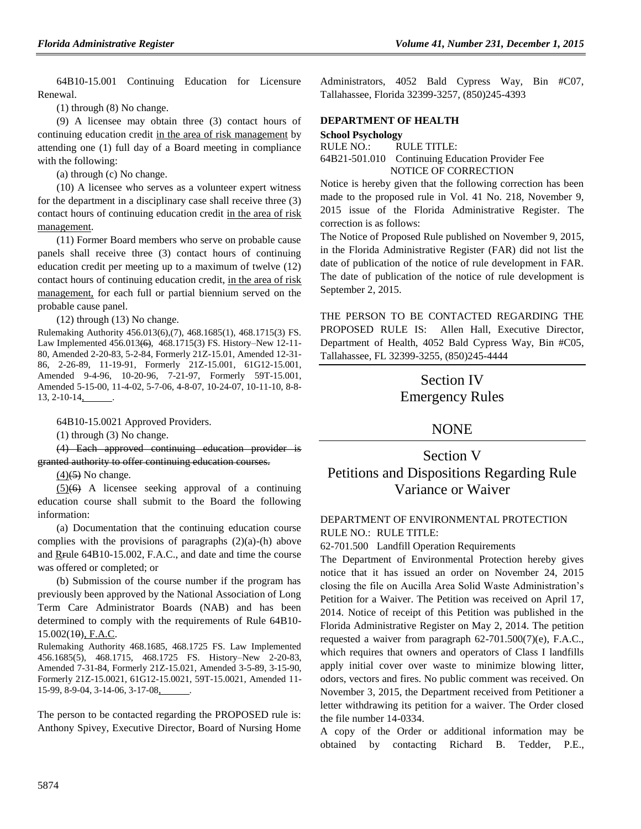64B10-15.001 Continuing Education for Licensure Renewal.

(1) through (8) No change.

(9) A licensee may obtain three (3) contact hours of continuing education credit in the area of risk management by attending one (1) full day of a Board meeting in compliance with the following:

(a) through (c) No change.

(10) A licensee who serves as a volunteer expert witness for the department in a disciplinary case shall receive three (3) contact hours of continuing education credit in the area of risk management.

(11) Former Board members who serve on probable cause panels shall receive three (3) contact hours of continuing education credit per meeting up to a maximum of twelve (12) contact hours of continuing education credit, in the area of risk management, for each full or partial biennium served on the probable cause panel.

(12) through (13) No change.

Rulemaking Authority 456.013(6),(7), 468.1685(1), 468.1715(3) FS. Law Implemented 456.013(6), 468.1715(3) FS. History–New 12-11- 80, Amended 2-20-83, 5-2-84, Formerly 21Z-15.01, Amended 12-31- 86, 2-26-89, 11-19-91, Formerly 21Z-15.001, 61G12-15.001, Amended 9-4-96, 10-20-96, 7-21-97, Formerly 59T-15.001, Amended 5-15-00, 11-4-02, 5-7-06, 4-8-07, 10-24-07, 10-11-10, 8-8-  $13, 2-10-14, \underline{\qquad}$ .

64B10-15.0021 Approved Providers.

(1) through (3) No change.

(4) Each approved continuing education provider is granted authority to offer continuing education courses.

 $(4)$ (5) No change.

 $(5)(6)$  A licensee seeking approval of a continuing education course shall submit to the Board the following information:

(a) Documentation that the continuing education course complies with the provisions of paragraphs  $(2)(a)-(h)$  above and Rrule 64B10-15.002, F.A.C., and date and time the course was offered or completed; or

(b) Submission of the course number if the program has previously been approved by the National Association of Long Term Care Administrator Boards (NAB) and has been determined to comply with the requirements of Rule 64B10- 15.002(10), F.A.C.

Rulemaking Authority 468.1685, 468.1725 FS. Law Implemented 456.1685(5), 468.1715, 468.1725 FS. History–New 2-20-83, Amended 7-31-84, Formerly 21Z-15.021, Amended 3-5-89, 3-15-90, Formerly 21Z-15.0021, 61G12-15.0021, 59T-15.0021, Amended 11- 15-99, 8-9-04, 3-14-06, 3-17-08,

The person to be contacted regarding the PROPOSED rule is: Anthony Spivey, Executive Director, Board of Nursing Home Administrators, 4052 Bald Cypress Way, Bin #C07, Tallahassee, Florida 32399-3257, (850)245-4393

# **[DEPARTMENT OF HEALTH](https://www.flrules.org/gateway/department.asp?id=64)**

**[School Psychology](https://www.flrules.org/gateway/organization.asp?id=313)** RULE NO.: RULE TITLE: [64B21-501.010](https://www.flrules.org/gateway/ruleNo.asp?id=64B21-501.010) Continuing Education Provider Fee NOTICE OF CORRECTION

Notice is hereby given that the following correction has been made to the proposed rule in Vol. 41 No. 218, November 9, 2015 issue of the Florida Administrative Register. The correction is as follows:

The Notice of Proposed Rule published on November 9, 2015, in the Florida Administrative Register (FAR) did not list the date of publication of the notice of rule development in FAR. The date of publication of the notice of rule development is September 2, 2015.

THE PERSON TO BE CONTACTED REGARDING THE PROPOSED RULE IS: Allen Hall, Executive Director, Department of Health, 4052 Bald Cypress Way, Bin #C05, Tallahassee, FL 32399-3255, (850)245-4444

> Section IV Emergency Rules

# **NONE**

Section V Petitions and Dispositions Regarding Rule Variance or Waiver

# [DEPARTMENT OF ENVIRONMENTAL PROTECTION](https://www.flrules.org/gateway/department.asp?id=62) RULE NO.: RULE TITLE:

[62-701.500](https://www.flrules.org/gateway/ruleNo.asp?id=62-701.500) Landfill Operation Requirements

The Department of Environmental Protection hereby gives notice that it has issued an order on November 24, 2015 closing the file on Aucilla Area Solid Waste Administration's Petition for a Waiver. The Petition was received on April 17, 2014. Notice of receipt of this Petition was published in the Florida Administrative Register on May 2, 2014. The petition requested a waiver from paragraph 62-701.500(7)(e), F.A.C., which requires that owners and operators of Class I landfills apply initial cover over waste to minimize blowing litter, odors, vectors and fires. No public comment was received. On November 3, 2015, the Department received from Petitioner a letter withdrawing its petition for a waiver. The Order closed the file number 14-0334.

A copy of the Order or additional information may be obtained by contacting Richard B. Tedder, P.E.,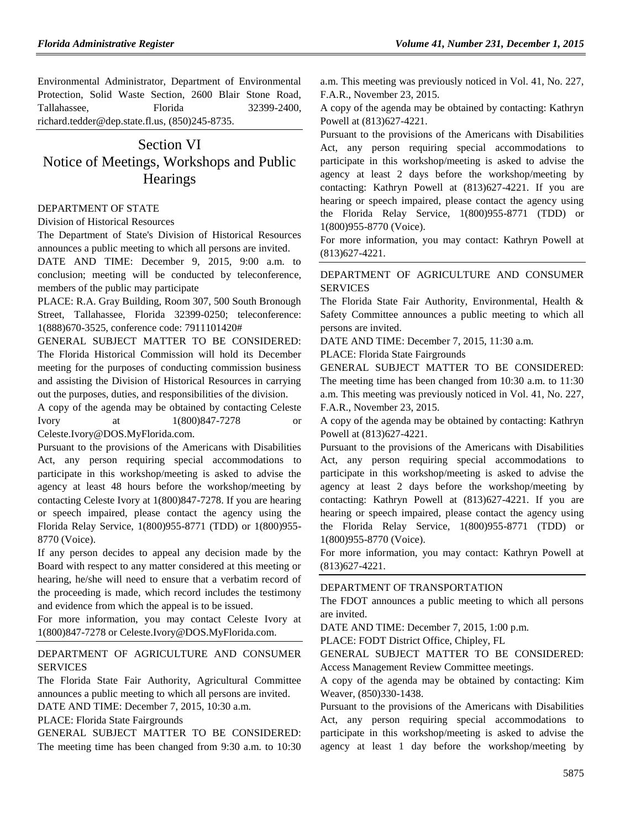Environmental Administrator, Department of Environmental Protection, Solid Waste Section, 2600 Blair Stone Road, Tallahassee. Florida 32399-2400. [richard.tedder@dep.state.fl.us,](mailto:richard.tedder@dep.state.fl.us) (850)245-8735.

# Section VI Notice of Meetings, Workshops and Public **Hearings**

# [DEPARTMENT OF STATE](https://www.flrules.org/gateway/department.asp?id=1)

[Division of Historical Resources](https://www.flrules.org/gateway/organization.asp?id=1)

The Department of State's Division of Historical Resources announces a public meeting to which all persons are invited.

DATE AND TIME: December 9, 2015, 9:00 a.m. to conclusion; meeting will be conducted by teleconference, members of the public may participate

PLACE: R.A. Gray Building, Room 307, 500 South Bronough Street, Tallahassee, Florida 32399-0250; teleconference: 1(888)670-3525, conference code: 7911101420#

GENERAL SUBJECT MATTER TO BE CONSIDERED: The Florida Historical Commission will hold its December meeting for the purposes of conducting commission business and assisting the Division of Historical Resources in carrying out the purposes, duties, and responsibilities of the division.

A copy of the agenda may be obtained by contacting Celeste Ivory at 1(800)847-7278 or [Celeste.Ivory@DOS.MyFlorida.com.](mailto:Celeste.Ivory@DOS.MyFlorida.com)

Pursuant to the provisions of the Americans with Disabilities Act, any person requiring special accommodations to participate in this workshop/meeting is asked to advise the agency at least 48 hours before the workshop/meeting by contacting Celeste Ivory at 1(800)847-7278. If you are hearing or speech impaired, please contact the agency using the Florida Relay Service, 1(800)955-8771 (TDD) or 1(800)955- 8770 (Voice).

If any person decides to appeal any decision made by the Board with respect to any matter considered at this meeting or hearing, he/she will need to ensure that a verbatim record of the proceeding is made, which record includes the testimony and evidence from which the appeal is to be issued.

For more information, you may contact Celeste Ivory at 1(800)847-7278 or [Celeste.Ivory@DOS.MyFlorida.com.](mailto:Celeste.Ivory@DOS.MyFlorida.com)

#### [DEPARTMENT OF AGRICULTURE AND CONSUMER](https://www.flrules.org/gateway/department.asp?id=5)  **[SERVICES](https://www.flrules.org/gateway/department.asp?id=5)**

The Florida State Fair Authority, Agricultural Committee announces a public meeting to which all persons are invited. DATE AND TIME: December 7, 2015, 10:30 a.m.

PLACE: Florida State Fairgrounds

GENERAL SUBJECT MATTER TO BE CONSIDERED: The meeting time has been changed from 9:30 a.m. to 10:30 a.m. This meeting was previously noticed in Vol. 41, No. 227, F.A.R., November 23, 2015.

A copy of the agenda may be obtained by contacting: Kathryn Powell at (813)627-4221.

Pursuant to the provisions of the Americans with Disabilities Act, any person requiring special accommodations to participate in this workshop/meeting is asked to advise the agency at least 2 days before the workshop/meeting by contacting: Kathryn Powell at (813)627-4221. If you are hearing or speech impaired, please contact the agency using the Florida Relay Service, 1(800)955-8771 (TDD) or 1(800)955-8770 (Voice).

For more information, you may contact: Kathryn Powell at (813)627-4221.

# [DEPARTMENT OF AGRICULTURE AND CONSUMER](https://www.flrules.org/gateway/department.asp?id=5)  **[SERVICES](https://www.flrules.org/gateway/department.asp?id=5)**

The Florida State Fair Authority, Environmental, Health & Safety Committee announces a public meeting to which all persons are invited.

DATE AND TIME: December 7, 2015, 11:30 a.m.

PLACE: Florida State Fairgrounds

GENERAL SUBJECT MATTER TO BE CONSIDERED: The meeting time has been changed from 10:30 a.m. to 11:30 a.m. This meeting was previously noticed in Vol. 41, No. 227, F.A.R., November 23, 2015.

A copy of the agenda may be obtained by contacting: Kathryn Powell at (813)627-4221.

Pursuant to the provisions of the Americans with Disabilities Act, any person requiring special accommodations to participate in this workshop/meeting is asked to advise the agency at least 2 days before the workshop/meeting by contacting: Kathryn Powell at (813)627-4221. If you are hearing or speech impaired, please contact the agency using the Florida Relay Service, 1(800)955-8771 (TDD) or 1(800)955-8770 (Voice).

For more information, you may contact: Kathryn Powell at (813)627-4221.

# [DEPARTMENT OF TRANSPORTATION](https://www.flrules.org/gateway/department.asp?id=14)

The FDOT announces a public meeting to which all persons are invited.

DATE AND TIME: December 7, 2015, 1:00 p.m.

PLACE: FODT District Office, Chipley, FL

GENERAL SUBJECT MATTER TO BE CONSIDERED: Access Management Review Committee meetings.

A copy of the agenda may be obtained by contacting: Kim Weaver, (850)330-1438.

Pursuant to the provisions of the Americans with Disabilities Act, any person requiring special accommodations to participate in this workshop/meeting is asked to advise the agency at least 1 day before the workshop/meeting by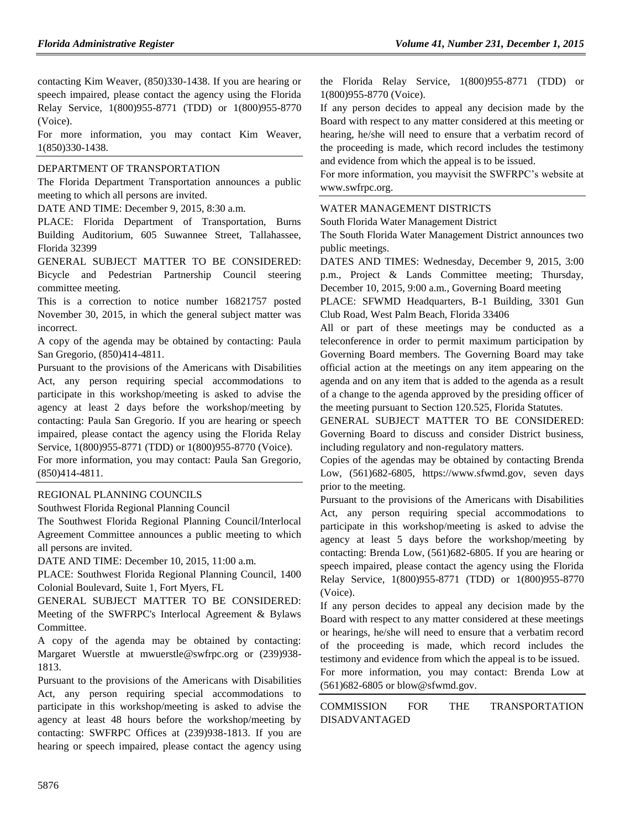contacting Kim Weaver, (850)330-1438. If you are hearing or speech impaired, please contact the agency using the Florida Relay Service, 1(800)955-8771 (TDD) or 1(800)955-8770 (Voice).

For more information, you may contact Kim Weaver, 1(850)330-1438.

# [DEPARTMENT OF TRANSPORTATION](https://www.flrules.org/gateway/department.asp?id=14)

The Florida Department Transportation announces a public meeting to which all persons are invited.

DATE AND TIME: December 9, 2015, 8:30 a.m.

PLACE: Florida Department of Transportation, Burns Building Auditorium, 605 Suwannee Street, Tallahassee, Florida 32399

GENERAL SUBJECT MATTER TO BE CONSIDERED: Bicycle and Pedestrian Partnership Council steering committee meeting.

This is a correction to notice number 16821757 posted November 30, 2015, in which the general subject matter was incorrect.

A copy of the agenda may be obtained by contacting: Paula San Gregorio, (850)414-4811.

Pursuant to the provisions of the Americans with Disabilities Act, any person requiring special accommodations to participate in this workshop/meeting is asked to advise the agency at least 2 days before the workshop/meeting by contacting: Paula San Gregorio. If you are hearing or speech impaired, please contact the agency using the Florida Relay Service, 1(800)955-8771 (TDD) or 1(800)955-8770 (Voice).

For more information, you may contact: Paula San Gregorio, (850)414-4811.

# [REGIONAL PLANNING COUNCILS](https://www.flrules.org/gateway/department.asp?id=29)

[Southwest Florida Regional Planning Council](https://www.flrules.org/gateway/organization.asp?id=65)

The Southwest Florida Regional Planning Council/Interlocal Agreement Committee announces a public meeting to which all persons are invited.

DATE AND TIME: December 10, 2015, 11:00 a.m.

PLACE: Southwest Florida Regional Planning Council, 1400 Colonial Boulevard, Suite 1, Fort Myers, FL

GENERAL SUBJECT MATTER TO BE CONSIDERED: Meeting of the SWFRPC's Interlocal Agreement & Bylaws Committee.

A copy of the agenda may be obtained by contacting: Margaret Wuerstle at [mwuerstle@swfrpc.org](mailto:mwuerstle@swfrpc.org) or (239)938- 1813.

Pursuant to the provisions of the Americans with Disabilities Act, any person requiring special accommodations to participate in this workshop/meeting is asked to advise the agency at least 48 hours before the workshop/meeting by contacting: SWFRPC Offices at (239)938-1813. If you are hearing or speech impaired, please contact the agency using the Florida Relay Service, 1(800)955-8771 (TDD) or 1(800)955-8770 (Voice).

If any person decides to appeal any decision made by the Board with respect to any matter considered at this meeting or hearing, he/she will need to ensure that a verbatim record of the proceeding is made, which record includes the testimony and evidence from which the appeal is to be issued.

For more information, you mayvisit the SWFRPC's website at [www.swfrpc.org.](http://www.swfrpc.org/)

[WATER MANAGEMENT DISTRICTS](https://www.flrules.org/gateway/department.asp?id=40)

[South Florida Water Management District](https://www.flrules.org/gateway/organization.asp?id=124)

The South Florida Water Management District announces two public meetings.

DATES AND TIMES: Wednesday, December 9, 2015, 3:00 p.m., Project & Lands Committee meeting; Thursday, December 10, 2015, 9:00 a.m., Governing Board meeting

PLACE: SFWMD Headquarters, B-1 Building, 3301 Gun Club Road, West Palm Beach, Florida 33406

All or part of these meetings may be conducted as a teleconference in order to permit maximum participation by Governing Board members. The Governing Board may take official action at the meetings on any item appearing on the agenda and on any item that is added to the agenda as a result of a change to the agenda approved by the presiding officer of the meeting pursuant to Section 120.525, Florida Statutes.

GENERAL SUBJECT MATTER TO BE CONSIDERED: Governing Board to discuss and consider District business, including regulatory and non-regulatory matters.

Copies of the agendas may be obtained by contacting Brenda Low, (561)682-6805, [https://www.sfwmd.gov,](https://www.sfwmd.gov/) seven days prior to the meeting.

Pursuant to the provisions of the Americans with Disabilities Act, any person requiring special accommodations to participate in this workshop/meeting is asked to advise the agency at least 5 days before the workshop/meeting by contacting: Brenda Low, (561)682-6805. If you are hearing or speech impaired, please contact the agency using the Florida Relay Service, 1(800)955-8771 (TDD) or 1(800)955-8770 (Voice).

If any person decides to appeal any decision made by the Board with respect to any matter considered at these meetings or hearings, he/she will need to ensure that a verbatim record of the proceeding is made, which record includes the testimony and evidence from which the appeal is to be issued.

For more information, you may contact: Brenda Low at (561)682-6805 or [blow@sfwmd.gov.](mailto:blow@sfwmd.gov)

[COMMISSION FOR THE TRANSPORTATION](https://www.flrules.org/gateway/department.asp?id=41)  [DISADVANTAGED](https://www.flrules.org/gateway/department.asp?id=41)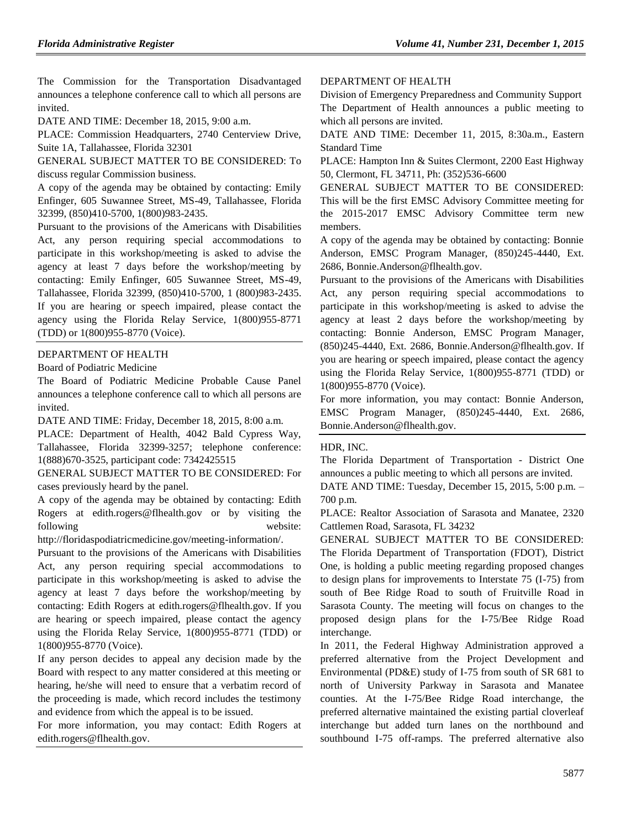The Commission for the Transportation Disadvantaged announces a telephone conference call to which all persons are invited.

DATE AND TIME: December 18, 2015, 9:00 a.m.

PLACE: Commission Headquarters, 2740 Centerview Drive, Suite 1A, Tallahassee, Florida 32301

GENERAL SUBJECT MATTER TO BE CONSIDERED: To discuss regular Commission business.

A copy of the agenda may be obtained by contacting: Emily Enfinger, 605 Suwannee Street, MS-49, Tallahassee, Florida 32399, (850)410-5700, 1(800)983-2435.

Pursuant to the provisions of the Americans with Disabilities Act, any person requiring special accommodations to participate in this workshop/meeting is asked to advise the agency at least 7 days before the workshop/meeting by contacting: Emily Enfinger, 605 Suwannee Street, MS-49, Tallahassee, Florida 32399, (850)410-5700, 1 (800)983-2435. If you are hearing or speech impaired, please contact the agency using the Florida Relay Service, 1(800)955-8771 (TDD) or 1(800)955-8770 (Voice).

# [DEPARTMENT OF HEALTH](https://www.flrules.org/gateway/department.asp?id=64)

[Board of Podiatric Medicine](https://www.flrules.org/gateway/organization.asp?id=309)

The Board of Podiatric Medicine Probable Cause Panel announces a telephone conference call to which all persons are invited.

DATE AND TIME: Friday, December 18, 2015, 8:00 a.m.

PLACE: Department of Health, 4042 Bald Cypress Way, Tallahassee, Florida 32399-3257; telephone conference: 1(888)670-3525, participant code: 7342425515

GENERAL SUBJECT MATTER TO BE CONSIDERED: For cases previously heard by the panel.

A copy of the agenda may be obtained by contacting: Edith Rogers at [edith.rogers@flhealth.gov](mailto:edith.rogers@flhealth.gov) or by visiting the following website:

[http://floridaspodiatricmedicine.gov/meeting-information/.](http://floridaspodiatricmedicine.gov/meeting-information/)

Pursuant to the provisions of the Americans with Disabilities Act, any person requiring special accommodations to participate in this workshop/meeting is asked to advise the agency at least 7 days before the workshop/meeting by contacting: Edith Rogers at [edith.rogers@flhealth.gov.](mailto:edith.rogers@flhealth.gov) If you are hearing or speech impaired, please contact the agency using the Florida Relay Service, 1(800)955-8771 (TDD) or 1(800)955-8770 (Voice).

If any person decides to appeal any decision made by the Board with respect to any matter considered at this meeting or hearing, he/she will need to ensure that a verbatim record of the proceeding is made, which record includes the testimony and evidence from which the appeal is to be issued.

For more information, you may contact: Edith Rogers at [edith.rogers@flhealth.gov.](mailto:edith.rogers@flhealth.gov)

#### [DEPARTMENT OF HEALTH](https://www.flrules.org/gateway/department.asp?id=64)

[Division of Emergency Preparedness and Community Support](https://www.flrules.org/gateway/organization.asp?id=832) The Department of Health announces a public meeting to which all persons are invited.

DATE AND TIME: December 11, 2015, 8:30a.m., Eastern Standard Time

PLACE: Hampton Inn & Suites Clermont, 2200 East Highway 50, Clermont, FL 34711, Ph: (352)536-6600

GENERAL SUBJECT MATTER TO BE CONSIDERED: This will be the first EMSC Advisory Committee meeting for the 2015-2017 EMSC Advisory Committee term new members.

A copy of the agenda may be obtained by contacting: Bonnie Anderson, EMSC Program Manager, (850)245-4440, Ext. 2686, Bonnie.Anderson@flhealth.gov.

Pursuant to the provisions of the Americans with Disabilities Act, any person requiring special accommodations to participate in this workshop/meeting is asked to advise the agency at least 2 days before the workshop/meeting by contacting: Bonnie Anderson, EMSC Program Manager, (850)245-4440, Ext. 2686, Bonnie.Anderson@flhealth.gov. If you are hearing or speech impaired, please contact the agency using the Florida Relay Service, 1(800)955-8771 (TDD) or 1(800)955-8770 (Voice).

For more information, you may contact: Bonnie Anderson, EMSC Program Manager, (850)245-4440, Ext. 2686, Bonnie.Anderson@flhealth.gov.

# [HDR, INC.](https://www.flrules.org/gateway/organization.asp?id=842)

The Florida Department of Transportation - District One announces a public meeting to which all persons are invited.

DATE AND TIME: Tuesday, December 15, 2015, 5:00 p.m. – 700 p.m.

PLACE: Realtor Association of Sarasota and Manatee, 2320 Cattlemen Road, Sarasota, FL 34232

GENERAL SUBJECT MATTER TO BE CONSIDERED: The Florida Department of Transportation (FDOT), District One, is holding a public meeting regarding proposed changes to design plans for improvements to Interstate 75 (I-75) from south of Bee Ridge Road to south of Fruitville Road in Sarasota County. The meeting will focus on changes to the proposed design plans for the I-75/Bee Ridge Road interchange.

In 2011, the Federal Highway Administration approved a preferred alternative from the Project Development and Environmental (PD&E) study of I-75 from south of SR 681 to north of University Parkway in Sarasota and Manatee counties. At the I-75/Bee Ridge Road interchange, the preferred alternative maintained the existing partial cloverleaf interchange but added turn lanes on the northbound and southbound I-75 off-ramps. The preferred alternative also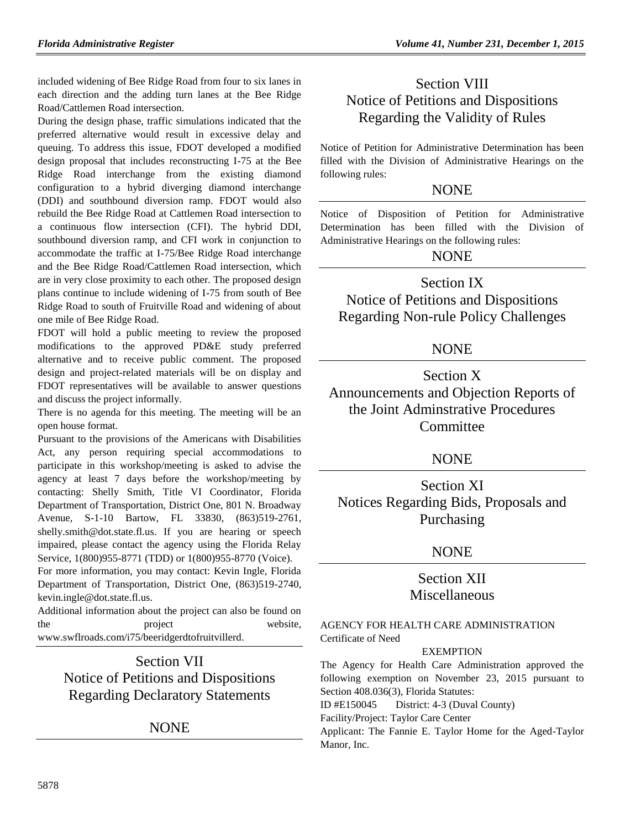included widening of Bee Ridge Road from four to six lanes in each direction and the adding turn lanes at the Bee Ridge Road/Cattlemen Road intersection.

During the design phase, traffic simulations indicated that the preferred alternative would result in excessive delay and queuing. To address this issue, FDOT developed a modified design proposal that includes reconstructing I-75 at the Bee Ridge Road interchange from the existing diamond configuration to a hybrid diverging diamond interchange (DDI) and southbound diversion ramp. FDOT would also rebuild the Bee Ridge Road at Cattlemen Road intersection to a continuous flow intersection (CFI). The hybrid DDI, southbound diversion ramp, and CFI work in conjunction to accommodate the traffic at I-75/Bee Ridge Road interchange and the Bee Ridge Road/Cattlemen Road intersection, which are in very close proximity to each other. The proposed design plans continue to include widening of I-75 from south of Bee Ridge Road to south of Fruitville Road and widening of about one mile of Bee Ridge Road.

FDOT will hold a public meeting to review the proposed modifications to the approved PD&E study preferred alternative and to receive public comment. The proposed design and project-related materials will be on display and FDOT representatives will be available to answer questions and discuss the project informally.

There is no agenda for this meeting. The meeting will be an open house format.

Pursuant to the provisions of the Americans with Disabilities Act, any person requiring special accommodations to participate in this workshop/meeting is asked to advise the agency at least 7 days before the workshop/meeting by contacting: Shelly Smith, Title VI Coordinator, Florida Department of Transportation, District One, 801 N. Broadway Avenue, S-1-10 Bartow, FL 33830, (863)519-2761, [shelly.smith@dot.state.fl.us.](mailto:shelly.smith@dot.state.fl.us) If you are hearing or speech impaired, please contact the agency using the Florida Relay Service, 1(800)955-8771 (TDD) or 1(800)955-8770 (Voice).

For more information, you may contact: Kevin Ingle, Florida Department of Transportation, District One, (863)519-2740, [kevin.ingle@dot.state.fl.us.](mailto:kevin.ingle@dot.state.fl.us)

Additional information about the project can also be found on the project website, [www.swflroads.com/i75/beeridgerdtofruitvillerd.](http://www.swflroads.com/i75/beeridgerdtofruitvillerd)

Section VII Notice of Petitions and Dispositions Regarding Declaratory Statements

NONE

# Section VIII Notice of Petitions and Dispositions Regarding the Validity of Rules

Notice of Petition for Administrative Determination has been filled with the Division of Administrative Hearings on the following rules:

# **NONE**

Notice of Disposition of Petition for Administrative Determination has been filled with the Division of Administrative Hearings on the following rules:

# NONE

Section IX Notice of Petitions and Dispositions Regarding Non-rule Policy Challenges

# NONE

Section X Announcements and Objection Reports of the Joint Adminstrative Procedures **Committee** 

# NONE

Section XI Notices Regarding Bids, Proposals and Purchasing

# NONE

# Section XII Miscellaneous

# [AGENCY FOR HEALTH CARE ADMINISTRATION](https://www.flrules.org/gateway/department.asp?id=59) [Certificate of Need](https://www.flrules.org/gateway/organization.asp?id=188)

# EXEMPTION

The Agency for Health Care Administration approved the following exemption on November 23, 2015 pursuant to Section 408.036(3), Florida Statutes:

ID #E150045 District: 4-3 (Duval County)

Facility/Project: Taylor Care Center

Applicant: The Fannie E. Taylor Home for the Aged-Taylor Manor, Inc.